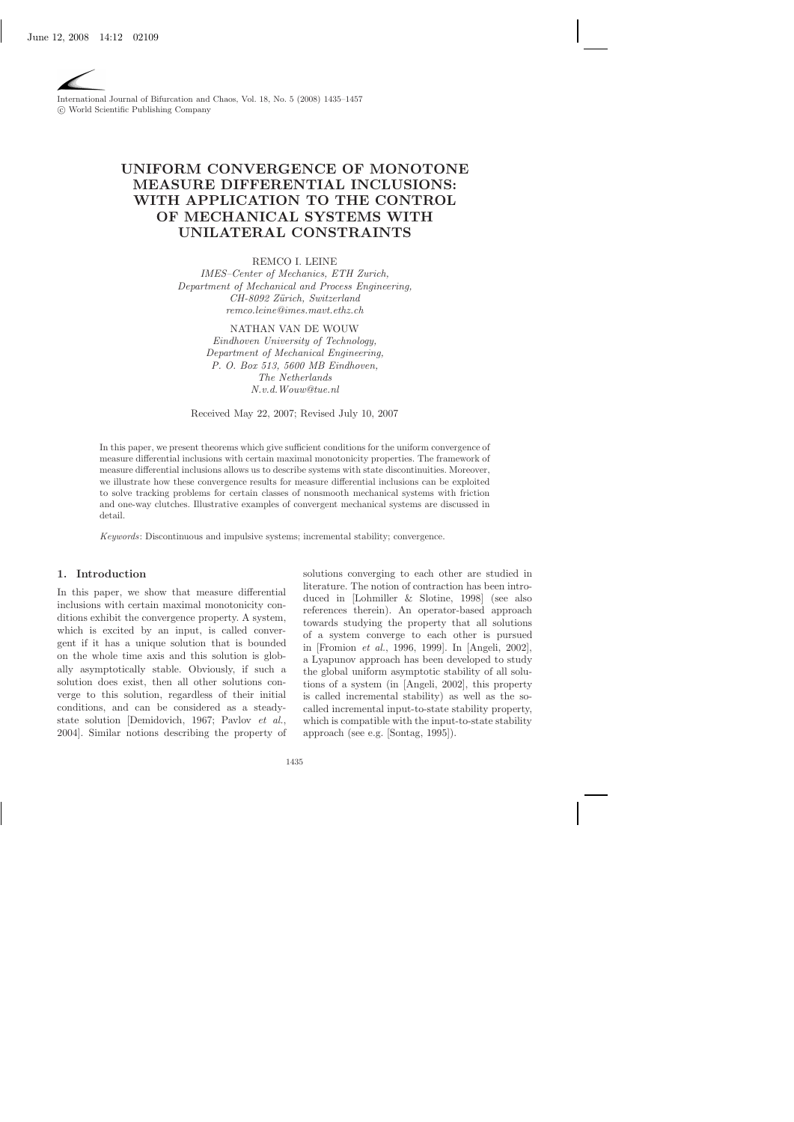International Journal of Bifurcation and Chaos, Vol. 18, No. 5 (2008) 1435–1457 c World Scientific Publishing Company

# UNIFORM CONVERGENCE OF MONOTONE **MEASURE DIFFERENTIAL INCLUSIONS: WITH APPLICATION TO THE CONTROL OF MECHANICAL SYSTEMS WITH UNILATERAL CONSTRAINTS**

REMCO I. LEINE

*IMES–Center of Mechanics, ETH Zurich, Department of Mechanical and Process Engineering, CH-8092 Z¨urich, Switzerland remco.leine@imes.mavt.ethz.ch*

> NATHAN VAN DE WOUW *Eindhoven University of Technology, Department of Mechanical Engineering, P. O. Box 513, 5600 MB Eindhoven, The Netherlands N.v.d.Wouw@tue.nl*

Received May 22, 2007; Revised July 10, 2007

In this paper, we present theorems which give sufficient conditions for the uniform convergence of measure differential inclusions with certain maximal monotonicity properties. The framework of measure differential inclusions allows us to describe systems with state discontinuities. Moreover, we illustrate how these convergence results for measure differential inclusions can be exploited to solve tracking problems for certain classes of nonsmooth mechanical systems with friction and one-way clutches. Illustrative examples of convergent mechanical systems are discussed in detail.

*Keywords*: Discontinuous and impulsive systems; incremental stability; convergence.

### **1. Introduction**

In this paper, we show that measure differential inclusions with certain maximal monotonicity conditions exhibit the convergence property. A system, which is excited by an input, is called convergent if it has a unique solution that is bounded on the whole time axis and this solution is globally asymptotically stable. Obviously, if such a solution does exist, then all other solutions converge to this solution, regardless of their initial conditions, and can be considered as a steadystate solution [Demidovich, 1967; Pavlov *et al.*, 2004]. Similar notions describing the property of

solutions converging to each other are studied in literature. The notion of contraction has been introduced in [Lohmiller & Slotine, 1998] (see also references therein). An operator-based approach towards studying the property that all solutions of a system converge to each other is pursued in [Fromion *et al.*, 1996, 1999]. In [Angeli, 2002], a Lyapunov approach has been developed to study the global uniform asymptotic stability of all solutions of a system (in [Angeli, 2002], this property is called incremental stability) as well as the socalled incremental input-to-state stability property, which is compatible with the input-to-state stability approach (see e.g. [Sontag, 1995]).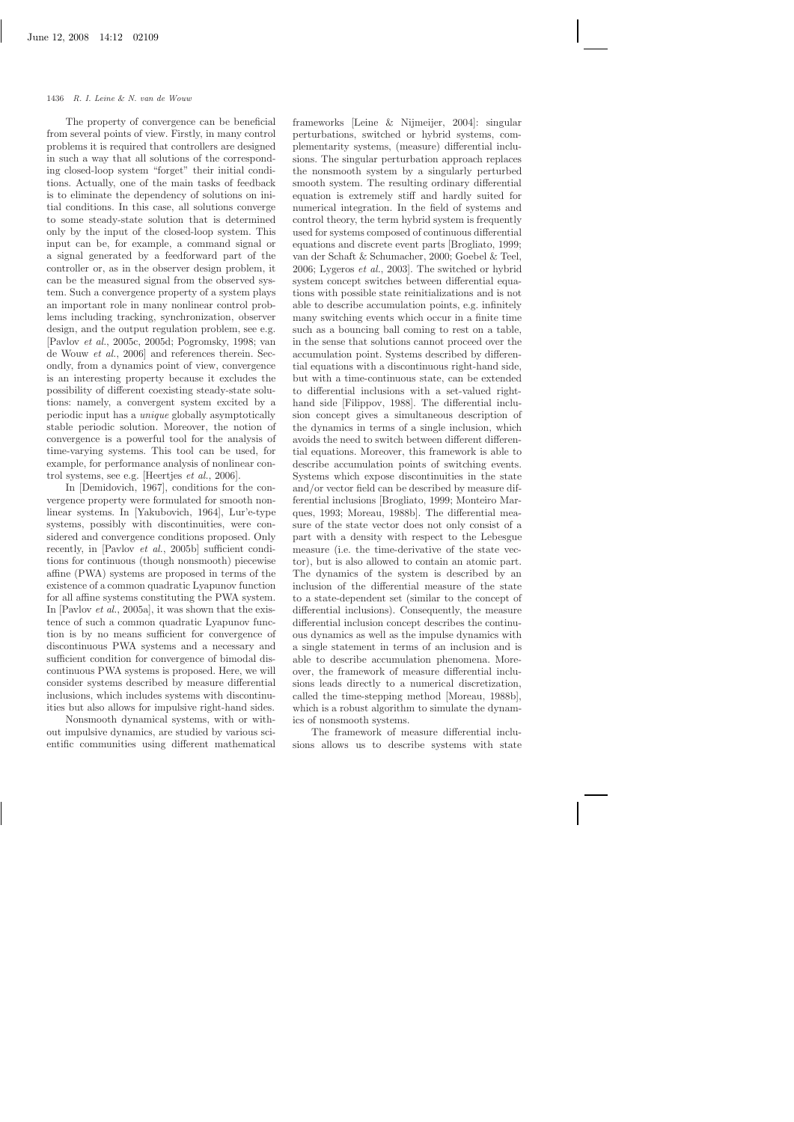The property of convergence can be beneficial from several points of view. Firstly, in many control problems it is required that controllers are designed in such a way that all solutions of the corresponding closed-loop system "forget" their initial conditions. Actually, one of the main tasks of feedback is to eliminate the dependency of solutions on initial conditions. In this case, all solutions converge to some steady-state solution that is determined only by the input of the closed-loop system. This input can be, for example, a command signal or a signal generated by a feedforward part of the controller or, as in the observer design problem, it can be the measured signal from the observed system. Such a convergence property of a system plays an important role in many nonlinear control problems including tracking, synchronization, observer design, and the output regulation problem, see e.g. [Pavlov *et al.*, 2005c, 2005d; Pogromsky, 1998; van de Wouw *et al.*, 2006] and references therein. Secondly, from a dynamics point of view, convergence is an interesting property because it excludes the possibility of different coexisting steady-state solutions: namely, a convergent system excited by a periodic input has a *unique* globally asymptotically stable periodic solution. Moreover, the notion of convergence is a powerful tool for the analysis of time-varying systems. This tool can be used, for example, for performance analysis of nonlinear control systems, see e.g. [Heertjes *et al.*, 2006].

In [Demidovich, 1967], conditions for the convergence property were formulated for smooth nonlinear systems. In [Yakubovich, 1964], Lur'e-type systems, possibly with discontinuities, were considered and convergence conditions proposed. Only recently, in [Pavlov *et al.*, 2005b] sufficient conditions for continuous (though nonsmooth) piecewise affine (PWA) systems are proposed in terms of the existence of a common quadratic Lyapunov function for all affine systems constituting the PWA system. In [Pavlov *et al.*, 2005a], it was shown that the existence of such a common quadratic Lyapunov function is by no means sufficient for convergence of discontinuous PWA systems and a necessary and sufficient condition for convergence of bimodal discontinuous PWA systems is proposed. Here, we will consider systems described by measure differential inclusions, which includes systems with discontinuities but also allows for impulsive right-hand sides.

Nonsmooth dynamical systems, with or without impulsive dynamics, are studied by various scientific communities using different mathematical frameworks [Leine & Nijmeijer, 2004]: singular perturbations, switched or hybrid systems, complementarity systems, (measure) differential inclusions. The singular perturbation approach replaces the nonsmooth system by a singularly perturbed smooth system. The resulting ordinary differential equation is extremely stiff and hardly suited for numerical integration. In the field of systems and control theory, the term hybrid system is frequently used for systems composed of continuous differential equations and discrete event parts [Brogliato, 1999; van der Schaft & Schumacher, 2000; Goebel & Teel, 2006; Lygeros *et al.*, 2003]. The switched or hybrid system concept switches between differential equations with possible state reinitializations and is not able to describe accumulation points, e.g. infinitely many switching events which occur in a finite time such as a bouncing ball coming to rest on a table, in the sense that solutions cannot proceed over the accumulation point. Systems described by differential equations with a discontinuous right-hand side, but with a time-continuous state, can be extended to differential inclusions with a set-valued righthand side [Filippov, 1988]. The differential inclusion concept gives a simultaneous description of the dynamics in terms of a single inclusion, which avoids the need to switch between different differential equations. Moreover, this framework is able to describe accumulation points of switching events. Systems which expose discontinuities in the state and/or vector field can be described by measure differential inclusions [Brogliato, 1999; Monteiro Marques, 1993; Moreau, 1988b]. The differential measure of the state vector does not only consist of a part with a density with respect to the Lebesgue measure (i.e. the time-derivative of the state vector), but is also allowed to contain an atomic part. The dynamics of the system is described by an inclusion of the differential measure of the state to a state-dependent set (similar to the concept of differential inclusions). Consequently, the measure differential inclusion concept describes the continuous dynamics as well as the impulse dynamics with a single statement in terms of an inclusion and is able to describe accumulation phenomena. Moreover, the framework of measure differential inclusions leads directly to a numerical discretization, called the time-stepping method [Moreau, 1988b], which is a robust algorithm to simulate the dynamics of nonsmooth systems.

The framework of measure differential inclusions allows us to describe systems with state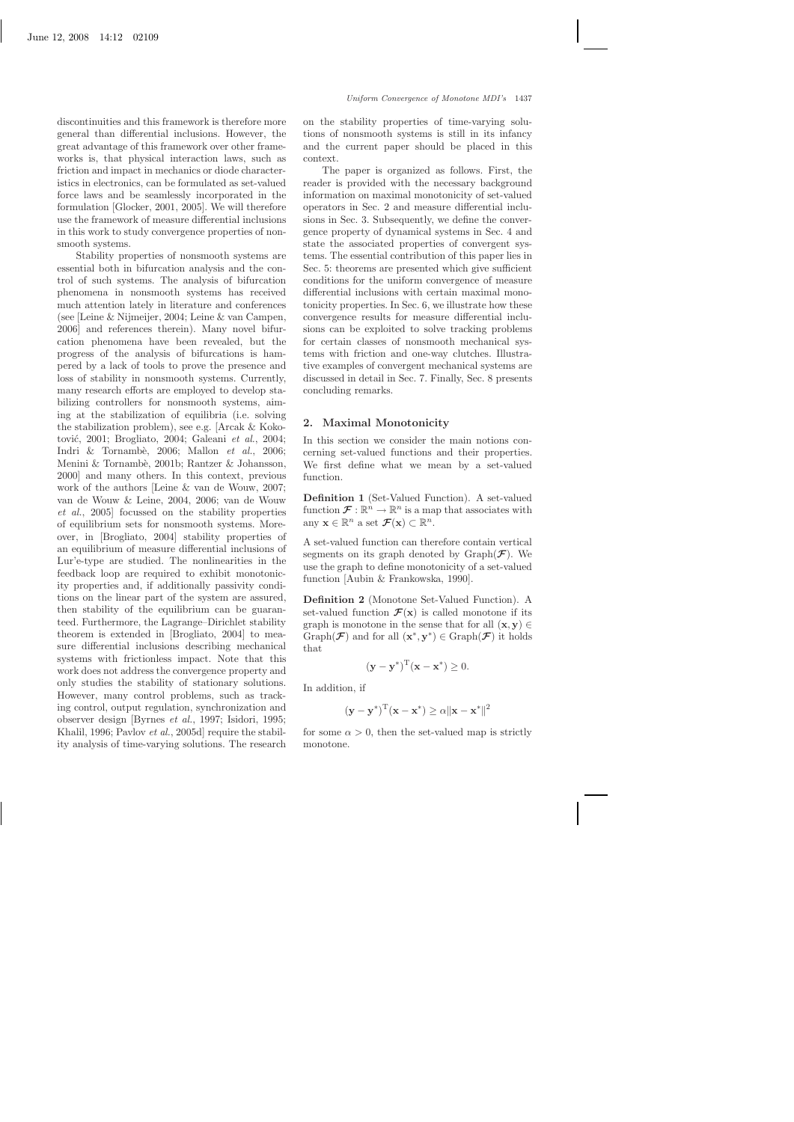discontinuities and this framework is therefore more general than differential inclusions. However, the great advantage of this framework over other frameworks is, that physical interaction laws, such as friction and impact in mechanics or diode characteristics in electronics, can be formulated as set-valued force laws and be seamlessly incorporated in the formulation [Glocker, 2001, 2005]. We will therefore use the framework of measure differential inclusions in this work to study convergence properties of nonsmooth systems.

Stability properties of nonsmooth systems are essential both in bifurcation analysis and the control of such systems. The analysis of bifurcation phenomena in nonsmooth systems has received much attention lately in literature and conferences (see [Leine & Nijmeijer, 2004; Leine & van Campen, 2006] and references therein). Many novel bifurcation phenomena have been revealed, but the progress of the analysis of bifurcations is hampered by a lack of tools to prove the presence and loss of stability in nonsmooth systems. Currently, many research efforts are employed to develop stabilizing controllers for nonsmooth systems, aiming at the stabilization of equilibria (i.e. solving the stabilization problem), see e.g. [Arcak & Kokotovi´c, 2001; Brogliato, 2004; Galeani *et al.*, 2004; Indri & Tornamb`e, 2006; Mallon *et al.*, 2006; Menini & Tornambè, 2001b; Rantzer & Johansson, 2000] and many others. In this context, previous work of the authors [Leine & van de Wouw, 2007; van de Wouw & Leine, 2004, 2006; van de Wouw *et al.*, 2005] focussed on the stability properties of equilibrium sets for nonsmooth systems. Moreover, in [Brogliato, 2004] stability properties of an equilibrium of measure differential inclusions of Lur'e-type are studied. The nonlinearities in the feedback loop are required to exhibit monotonicity properties and, if additionally passivity conditions on the linear part of the system are assured, then stability of the equilibrium can be guaranteed. Furthermore, the Lagrange–Dirichlet stability theorem is extended in [Brogliato, 2004] to measure differential inclusions describing mechanical systems with frictionless impact. Note that this work does not address the convergence property and only studies the stability of stationary solutions. However, many control problems, such as tracking control, output regulation, synchronization and observer design [Byrnes *et al.*, 1997; Isidori, 1995; Khalil, 1996; Pavlov *et al.*, 2005d] require the stability analysis of time-varying solutions. The research on the stability properties of time-varying solutions of nonsmooth systems is still in its infancy and the current paper should be placed in this context.

The paper is organized as follows. First, the reader is provided with the necessary background information on maximal monotonicity of set-valued operators in Sec. 2 and measure differential inclusions in Sec. 3. Subsequently, we define the convergence property of dynamical systems in Sec. 4 and state the associated properties of convergent systems. The essential contribution of this paper lies in Sec. 5: theorems are presented which give sufficient conditions for the uniform convergence of measure differential inclusions with certain maximal monotonicity properties. In Sec. 6, we illustrate how these convergence results for measure differential inclusions can be exploited to solve tracking problems for certain classes of nonsmooth mechanical systems with friction and one-way clutches. Illustrative examples of convergent mechanical systems are discussed in detail in Sec. 7. Finally, Sec. 8 presents concluding remarks.

### **2. Maximal Monotonicity**

In this section we consider the main notions concerning set-valued functions and their properties. We first define what we mean by a set-valued function.

**Definition 1** (Set-Valued Function). A set-valued function  $\mathcal{F}: \mathbb{R}^n \to \mathbb{R}^n$  is a map that associates with any  $\mathbf{x} \in \mathbb{R}^n$  a set  $\mathcal{F}(\mathbf{x}) \subset \mathbb{R}^n$ .

A set-valued function can therefore contain vertical segments on its graph denoted by Graph $(\mathcal{F})$ . We use the graph to define monotonicity of a set-valued function [Aubin & Frankowska, 1990].

**Definition 2** (Monotone Set-Valued Function). A set-valued function  $\mathcal{F}(\mathbf{x})$  is called monotone if its graph is monotone in the sense that for all  $(\mathbf{x}, \mathbf{y}) \in$ Graph( $\mathcal{F}$ ) and for all  $(\mathbf{x}^*, \mathbf{y}^*) \in \text{Graph}(\mathcal{F})$  it holds that

$$
(\mathbf{y} - \mathbf{y}^*)^{\mathrm{T}}(\mathbf{x} - \mathbf{x}^*) \geq 0.
$$

In addition, if

$$
(\mathbf{y} - \mathbf{y}^*)^{\mathrm{T}}(\mathbf{x} - \mathbf{x}^*) \ge \alpha \|\mathbf{x} - \mathbf{x}^*\|^2
$$

for some  $\alpha > 0$ , then the set-valued map is strictly monotone.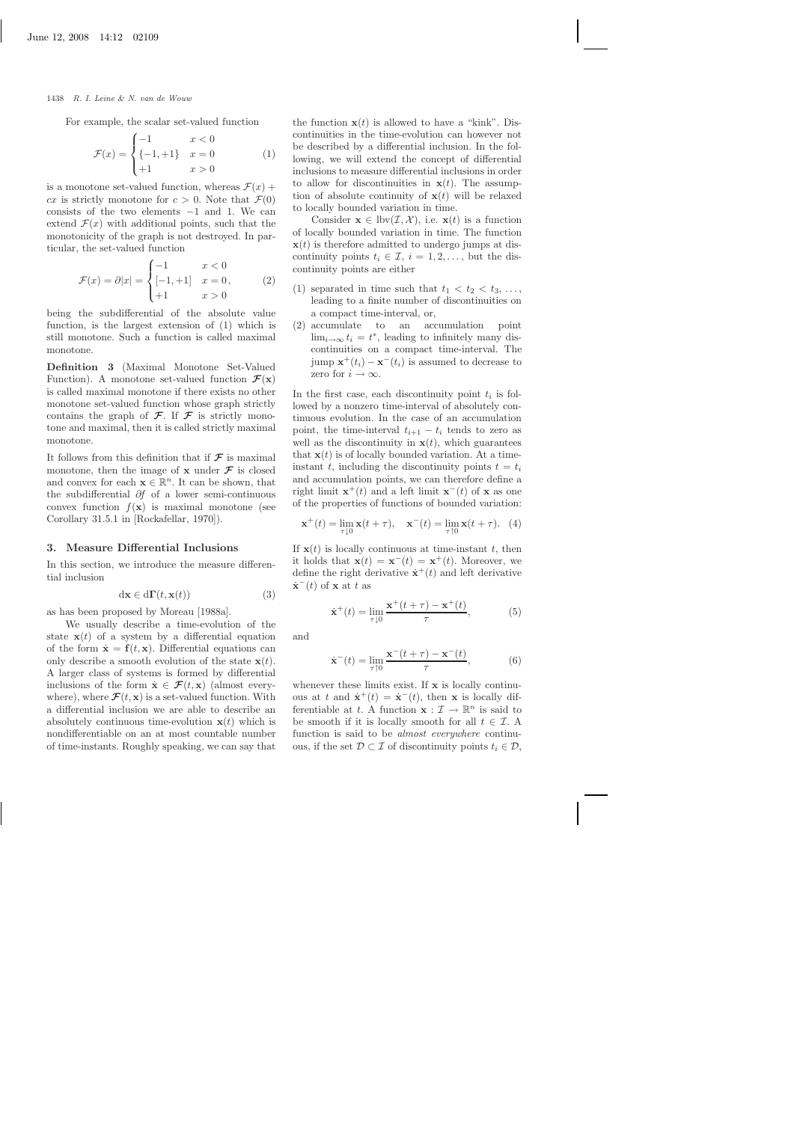For example, the scalar set-valued function

$$
\mathcal{F}(x) = \begin{cases}\n-1 & x < 0 \\
\{-1, +1\} & x = 0 \\
+1 & x > 0\n\end{cases}
$$
\n(1)

is a monotone set-valued function, whereas  $\mathcal{F}(x)$  + cx is strictly monotone for  $c > 0$ . Note that  $\mathcal{F}(0)$ consists of the two elements −1 and 1. We can extend  $\mathcal{F}(x)$  with additional points, such that the monotonicity of the graph is not destroyed. In particular, the set-valued function

$$
\mathcal{F}(x) = \partial |x| = \begin{cases}\n-1 & x < 0 \\
[-1, +1] & x = 0, \\
+1 & x > 0\n\end{cases}
$$
\n(2)

being the subdifferential of the absolute value function, is the largest extension of (1) which is still monotone. Such a function is called maximal monotone.

**Definition 3** (Maximal Monotone Set-Valued Function). A monotone set-valued function  $\mathcal{F}(\mathbf{x})$ is called maximal monotone if there exists no other monotone set-valued function whose graph strictly contains the graph of  $\mathcal F$ . If  $\mathcal F$  is strictly monotone and maximal, then it is called strictly maximal monotone.

It follows from this definition that if  $\mathcal F$  is maximal monotone, then the image of **x** under  $\mathcal{F}$  is closed and convex for each  $\mathbf{x} \in \mathbb{R}^n$ . It can be shown, that the subdifferential ∂f of a lower semi-continuous convex function  $f(\mathbf{x})$  is maximal monotone (see Corollary 31.5.1 in [Rockafellar, 1970]).

#### **3. Measure Differential Inclusions**

In this section, we introduce the measure differential inclusion

$$
d\mathbf{x} \in d\Gamma(t, \mathbf{x}(t))
$$
 (3)

as has been proposed by Moreau [1988a].

We usually describe a time-evolution of the state  $\mathbf{x}(t)$  of a system by a differential equation of the form  $\dot{\mathbf{x}} = \mathbf{f}(t, \mathbf{x})$ . Differential equations can only describe a smooth evolution of the state  $\mathbf{x}(t)$ . A larger class of systems is formed by differential inclusions of the form  $\dot{\mathbf{x}} \in \mathcal{F}(t, \mathbf{x})$  (almost everywhere), where  $\mathcal{F}(t, \mathbf{x})$  is a set-valued function. With a differential inclusion we are able to describe an absolutely continuous time-evolution  $\mathbf{x}(t)$  which is nondifferentiable on an at most countable number of time-instants. Roughly speaking, we can say that

the function  $\mathbf{x}(t)$  is allowed to have a "kink". Discontinuities in the time-evolution can however not be described by a differential inclusion. In the following, we will extend the concept of differential inclusions to measure differential inclusions in order to allow for discontinuities in  $\mathbf{x}(t)$ . The assumption of absolute continuity of  $\mathbf{x}(t)$  will be relaxed to locally bounded variation in time.

Consider  $\mathbf{x} \in \text{lbv}(\mathcal{I}, \mathcal{X})$ , i.e.  $\mathbf{x}(t)$  is a function of locally bounded variation in time. The function  $\mathbf{x}(t)$  is therefore admitted to undergo jumps at discontinuity points  $t_i \in \mathcal{I}, i = 1, 2, \ldots$ , but the discontinuity points are either

- (1) separated in time such that  $t_1 < t_2 < t_3, \ldots$ , leading to a finite number of discontinuities on a compact time-interval, or,
- (2) accumulate to an accumulation point  $\lim_{i\to\infty} t_i = t^*$ , leading to infinitely many discontinuities on a compact time-interval. The jump  $\mathbf{x}^+(t_i) - \mathbf{x}^-(t_i)$  is assumed to decrease to zero for  $i \to \infty$ .

In the first case, each discontinuity point  $t_i$  is followed by a nonzero time-interval of absolutely continuous evolution. In the case of an accumulation point, the time-interval  $t_{i+1} - t_i$  tends to zero as well as the discontinuity in  $\mathbf{x}(t)$ , which guarantees that  $\mathbf{x}(t)$  is of locally bounded variation. At a timeinstant t, including the discontinuity points  $t = t_i$ and accumulation points, we can therefore define a right limit  $\mathbf{x}^+(t)$  and a left limit  $\mathbf{x}^-(t)$  of **x** as one of the properties of functions of bounded variation:

$$
\mathbf{x}^+(t) = \lim_{\tau \downarrow 0} \mathbf{x}(t+\tau), \quad \mathbf{x}^-(t) = \lim_{\tau \uparrow 0} \mathbf{x}(t+\tau). \tag{4}
$$

If  $x(t)$  is locally continuous at time-instant t, then it holds that  $\mathbf{x}(t) = \mathbf{x}^{-}(t) = \mathbf{x}^{+}(t)$ . Moreover, we define the right derivative  $\dot{\mathbf{x}}^+(t)$  and left derivative  $\dot{\mathbf{x}}^-(t)$  of **x** at t as

$$
\dot{\mathbf{x}}^{+}(t) = \lim_{\tau \downarrow 0} \frac{\mathbf{x}^{+}(t+\tau) - \mathbf{x}^{+}(t)}{\tau},\tag{5}
$$

and

$$
\dot{\mathbf{x}}^{-}(t) = \lim_{\tau \uparrow 0} \frac{\mathbf{x}^{-}(t + \tau) - \mathbf{x}^{-}(t)}{\tau}, \tag{6}
$$

whenever these limits exist. If **x** is locally continuous at t and  $\dot{\mathbf{x}}^+(t) = \dot{\mathbf{x}}^-(t)$ , then **x** is locally differentiable at t. A function  $\mathbf{x}: \mathcal{I} \to \mathbb{R}^n$  is said to be smooth if it is locally smooth for all  $t \in \mathcal{I}$ . A function is said to be *almost everywhere* continuous, if the set  $D \subset \mathcal{I}$  of discontinuity points  $t_i \in \mathcal{D}$ ,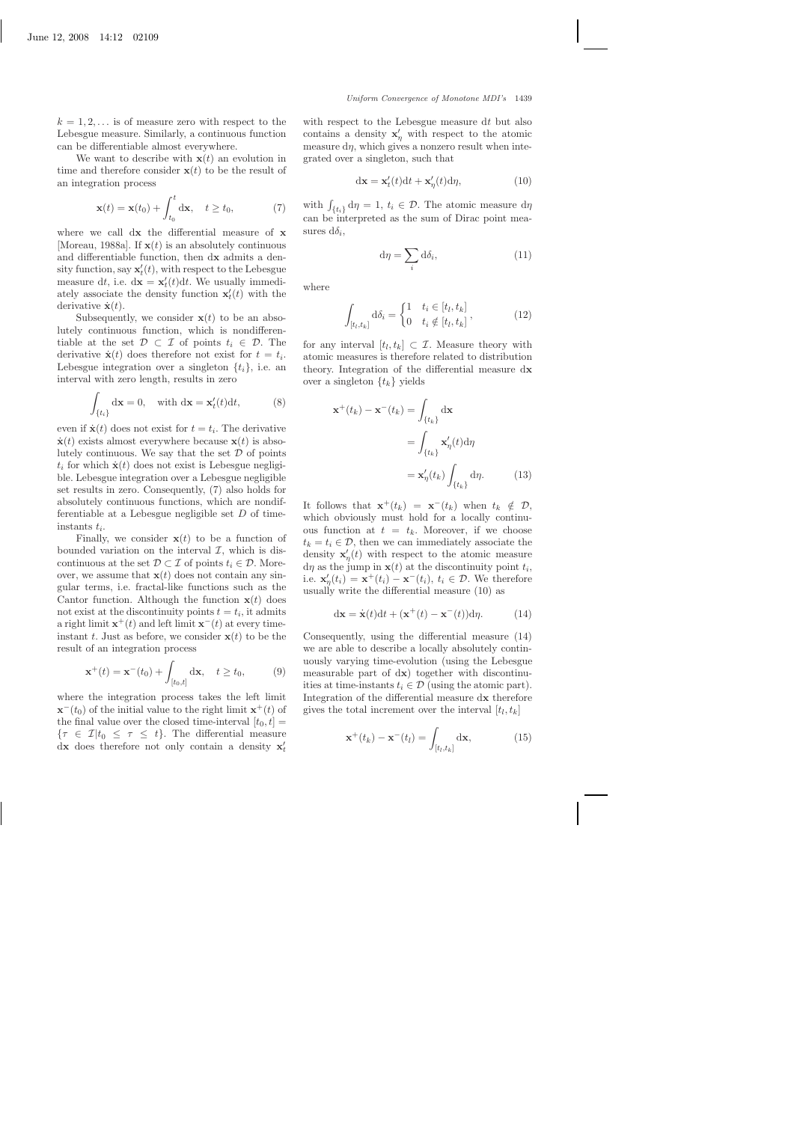$k = 1, 2, \ldots$  is of measure zero with respect to the Lebesgue measure. Similarly, a continuous function can be differentiable almost everywhere.

We want to describe with  $\mathbf{x}(t)$  an evolution in time and therefore consider  $\mathbf{x}(t)$  to be the result of an integration process

$$
\mathbf{x}(t) = \mathbf{x}(t_0) + \int_{t_0}^t \mathrm{d}\mathbf{x}, \quad t \ge t_0,
$$
 (7)

where we call d**x** the differential measure of **x** [Moreau, 1988a]. If  $\mathbf{x}(t)$  is an absolutely continuous and differentiable function, then d**x** admits a density function, say  $\mathbf{x}'_t(t)$ , with respect to the Lebesgue<br>measure dt i.e.  $d\mathbf{x} = \mathbf{x}'(t)dt$ . We usually immedimeasure dt, i.e.  $d\mathbf{x} = \mathbf{x}'_t(t)dt$ . We usually immedi-<br>ately associate the density function  $\mathbf{x}'_t(t)$  with the ately associate the density function  $\mathbf{x}'_t(t)$  with the derivative  $\dot{\mathbf{x}}(t)$ derivative  $\dot{\mathbf{x}}(t)$ .

Subsequently, we consider  $\mathbf{x}(t)$  to be an absolutely continuous function, which is nondifferentiable at the set  $\mathcal{D} \subset \mathcal{I}$  of points  $t_i \in \mathcal{D}$ . The derivative  $\dot{\mathbf{x}}(t)$  does therefore not exist for  $t = t_i$ . Lebesgue integration over a singleton  $\{t_i\}$ , i.e. an interval with zero length, results in zero

$$
\int_{\{t_i\}} \mathrm{d}\mathbf{x} = 0, \quad \text{with } \mathrm{d}\mathbf{x} = \mathbf{x}'_t(t) \mathrm{d}t,\tag{8}
$$

even if  $\dot{\mathbf{x}}(t)$  does not exist for  $t = t_i$ . The derivative  $\dot{\mathbf{x}}(t)$  exists almost everywhere because  $\mathbf{x}(t)$  is absolutely continuous. We say that the set  $\mathcal D$  of points  $t_i$  for which  $\dot{\mathbf{x}}(t)$  does not exist is Lebesgue negligible. Lebesgue integration over a Lebesgue negligible set results in zero. Consequently, (7) also holds for absolutely continuous functions, which are nondifferentiable at a Lebesgue negligible set  $D$  of timeinstants  $t_i$ .

Finally, we consider  $\mathbf{x}(t)$  to be a function of bounded variation on the interval  $\mathcal{I}$ , which is discontinuous at the set  $\mathcal{D} \subset \mathcal{I}$  of points  $t_i \in \mathcal{D}$ . Moreover, we assume that  $\mathbf{x}(t)$  does not contain any singular terms, i.e. fractal-like functions such as the Cantor function. Although the function  $\mathbf{x}(t)$  does not exist at the discontinuity points  $t = t_i$ , it admits a right limit  $\mathbf{x}^+(t)$  and left limit  $\mathbf{x}^-(t)$  at every timeinstant t. Just as before, we consider  $\mathbf{x}(t)$  to be the result of an integration process

$$
\mathbf{x}^+(t) = \mathbf{x}^-(t_0) + \int_{[t_0, t]} d\mathbf{x}, \quad t \ge t_0,
$$
 (9)

where the integration process takes the left limit  $\mathbf{x}^{-}(t_0)$  of the initial value to the right limit  $\mathbf{x}^{+}(t)$  of the final value over the closed time-interval  $[t_0, t] =$  $\{\tau \in \mathcal{I}| t_0 \leq \tau \leq t\}$ . The differential measure  $dx$  does therefore not only contain a density  $x_t$ 

with respect to the Lebesgue measure dt but also contains a density  $\mathbf{x}'_p$  with respect to the atomic<br>measure dn which gives a nonzero result when intemeasure  $d\eta$ , which gives a nonzero result when integrated over a singleton, such that

$$
\mathrm{d}\mathbf{x} = \mathbf{x}'_t(t)\mathrm{d}t + \mathbf{x}'_\eta(t)\mathrm{d}\eta,\tag{10}
$$

with  $\int_{\{t_i\}} d\eta = 1, t_i \in \mathcal{D}$ . The atomic measure  $d\eta$ can be interpreted as the sum of Dirac point measures  $d\delta_i$ ,

$$
\mathrm{d}\eta = \sum_{i} \mathrm{d}\delta_{i},\tag{11}
$$

where

$$
\int_{[t_l, t_k]} d\delta_i = \begin{cases} 1 & t_i \in [t_l, t_k] \\ 0 & t_i \notin [t_l, t_k] \end{cases},\tag{12}
$$

for any interval  $[t_l, t_k] \subset \mathcal{I}$ . Measure theory with atomic measures is therefore related to distribution theory. Integration of the differential measure d**x** over a singleton  $\{t_k\}$  yields

$$
\mathbf{x}^{+}(t_{k}) - \mathbf{x}^{-}(t_{k}) = \int_{\{t_{k}\}} d\mathbf{x}
$$

$$
= \int_{\{t_{k}\}} \mathbf{x}'_{\eta}(t) d\eta
$$

$$
= \mathbf{x}'_{\eta}(t_{k}) \int_{\{t_{k}\}} d\eta. \tag{13}
$$

It follows that  $\mathbf{x}^+(t_k) = \mathbf{x}^-(t_k)$  when  $t_k \notin \mathcal{D}$ , which obviously must hold for a locally continuous function at  $t = t_k$ . Moreover, if we choose  $t_k = t_i \in \mathcal{D}$ , then we can immediately associate the density  $\mathbf{x}'_{\eta}(t)$  with respect to the atomic measure dp as the jump in  $\mathbf{x}(t)$  at the discontinuity point t.  $d\eta$  as the jump in  $\mathbf{x}(t)$  at the discontinuity point  $t_i$ , i.e.  $\mathbf{x}'_{\eta}(t_i) = \mathbf{x}^+(t_i) - \mathbf{x}^-(t_i)$ ,  $t_i \in \mathcal{D}$ . We therefore usually write the differential measure (10) as usually write the differential measure (10) as

$$
d\mathbf{x} = \dot{\mathbf{x}}(t)dt + (\mathbf{x}^+(t) - \mathbf{x}^-(t))d\eta.
$$
 (14)

Consequently, using the differential measure (14) we are able to describe a locally absolutely continuously varying time-evolution (using the Lebesgue measurable part of d**x**) together with discontinuities at time-instants  $t_i \in \mathcal{D}$  (using the atomic part). Integration of the differential measure d**x** therefore gives the total increment over the interval  $[t_l, t_k]$ 

$$
\mathbf{x}^+(t_k) - \mathbf{x}^-(t_l) = \int_{[t_l, t_k]} \mathrm{d}\mathbf{x},\tag{15}
$$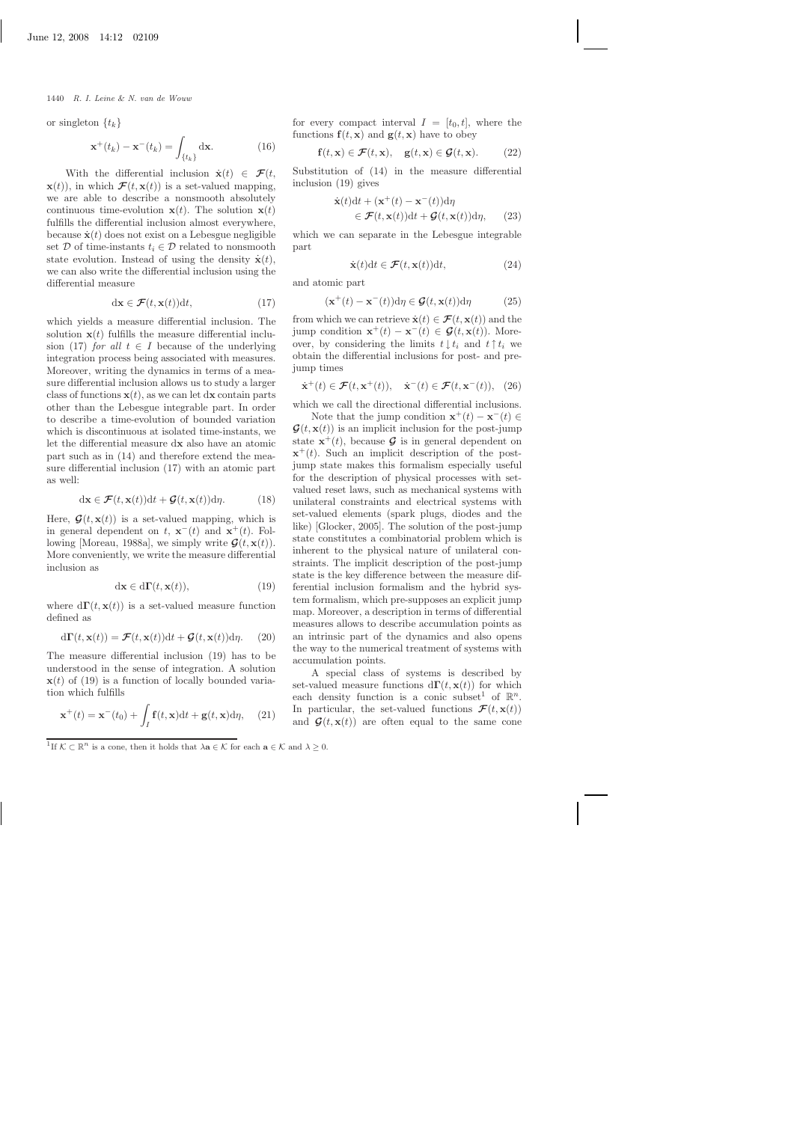1440 *R. I. Leine & N. van de Wouw*

or singleton  $\{t_k\}$ 

$$
\mathbf{x}^+(t_k) - \mathbf{x}^-(t_k) = \int_{\{t_k\}} \mathrm{d}\mathbf{x}.\tag{16}
$$

With the differential inclusion  $\dot{\mathbf{x}}(t) \in \mathcal{F}(t)$ ,  $\mathbf{x}(t)$ , in which  $\mathcal{F}(t, \mathbf{x}(t))$  is a set-valued mapping, we are able to describe a nonsmooth absolutely continuous time-evolution  $\mathbf{x}(t)$ . The solution  $\mathbf{x}(t)$ fulfills the differential inclusion almost everywhere, because  $\dot{\mathbf{x}}(t)$  does not exist on a Lebesgue negligible set D of time-instants  $t_i \in \mathcal{D}$  related to nonsmooth state evolution. Instead of using the density  $\dot{\mathbf{x}}(t)$ , we can also write the differential inclusion using the differential measure

$$
\mathrm{d}\mathbf{x} \in \mathcal{F}(t, \mathbf{x}(t))\mathrm{d}t,\tag{17}
$$

which yields a measure differential inclusion. The solution  $\mathbf{x}(t)$  fulfills the measure differential inclusion (17) *for all*  $t \in I$  because of the underlying integration process being associated with measures. Moreover, writing the dynamics in terms of a measure differential inclusion allows us to study a larger class of functions  $\mathbf{x}(t)$ , as we can let  $d\mathbf{x}$  contain parts other than the Lebesgue integrable part. In order to describe a time-evolution of bounded variation which is discontinuous at isolated time-instants, we let the differential measure d**x** also have an atomic part such as in (14) and therefore extend the measure differential inclusion (17) with an atomic part as well:

$$
dx \in \mathcal{F}(t, \mathbf{x}(t))dt + \mathcal{G}(t, \mathbf{x}(t))d\eta.
$$
 (18)

Here,  $\mathcal{G}(t, \mathbf{x}(t))$  is a set-valued mapping, which is in general dependent on t,  $\mathbf{x}^{-}(t)$  and  $\mathbf{x}^{+}(t)$ . Following [Moreau, 1988a], we simply write  $\mathcal{G}(t, \mathbf{x}(t))$ . More conveniently, we write the measure differential inclusion as

$$
d\mathbf{x} \in d\mathbf{\Gamma}(t, \mathbf{x}(t)),\tag{19}
$$

where  $d\mathbf{\Gamma}(t, \mathbf{x}(t))$  is a set-valued measure function defined as

$$
d\mathbf{\Gamma}(t, \mathbf{x}(t)) = \mathcal{F}(t, \mathbf{x}(t))dt + \mathcal{G}(t, \mathbf{x}(t))d\eta.
$$
 (20)

The measure differential inclusion (19) has to be understood in the sense of integration. A solution  $\mathbf{x}(t)$  of (19) is a function of locally bounded variation which fulfills

$$
\mathbf{x}^+(t) = \mathbf{x}^-(t_0) + \int_I \mathbf{f}(t, \mathbf{x}) dt + \mathbf{g}(t, \mathbf{x}) d\eta, \quad (21)
$$

for every compact interval  $I = [t_0, t]$ , where the functions  $f(t, x)$  and  $g(t, x)$  have to obey

$$
\mathbf{f}(t, \mathbf{x}) \in \mathcal{F}(t, \mathbf{x}), \quad \mathbf{g}(t, \mathbf{x}) \in \mathcal{G}(t, \mathbf{x}). \tag{22}
$$

Substitution of (14) in the measure differential inclusion (19) gives

$$
\dot{\mathbf{x}}(t)dt + (\mathbf{x}^+(t) - \mathbf{x}^-(t))d\eta \in \mathcal{F}(t, \mathbf{x}(t))dt + \mathcal{G}(t, \mathbf{x}(t))d\eta,
$$
 (23)

which we can separate in the Lebesgue integrable part

$$
\dot{\mathbf{x}}(t)dt \in \mathcal{F}(t, \mathbf{x}(t))dt,
$$
\n(24)

and atomic part

$$
(\mathbf{x}^+(t) - \mathbf{x}^-(t))\mathrm{d}\eta \in \mathcal{G}(t, \mathbf{x}(t))\mathrm{d}\eta \tag{25}
$$

from which we can retrieve  $\dot{\mathbf{x}}(t) \in \mathcal{F}(t, \mathbf{x}(t))$  and the jump condition  $\mathbf{x}^+(t) - \mathbf{x}^-(t) \in \mathcal{G}(t, \mathbf{x}(t))$ . Moreover, by considering the limits  $t \downarrow t_i$  and  $t \uparrow t_i$  we obtain the differential inclusions for post- and prejump times

$$
\dot{\mathbf{x}}^+(t) \in \mathcal{F}(t, \mathbf{x}^+(t)), \quad \dot{\mathbf{x}}^-(t) \in \mathcal{F}(t, \mathbf{x}^-(t)), \quad (26)
$$

which we call the directional differential inclusions.

Note that the jump condition  $\mathbf{x}^+(t) - \mathbf{x}^-(t) \in$  $\mathbf{G}(t, \mathbf{x}(t))$  is an implicit inclusion for the post-jump state  $\mathbf{x}^+(t)$ , because  $\mathcal G$  is in general dependent on  $\mathbf{x}^+(t)$ . Such an implicit description of the postjump state makes this formalism especially useful for the description of physical processes with setvalued reset laws, such as mechanical systems with unilateral constraints and electrical systems with set-valued elements (spark plugs, diodes and the like) [Glocker, 2005]. The solution of the post-jump state constitutes a combinatorial problem which is inherent to the physical nature of unilateral constraints. The implicit description of the post-jump state is the key difference between the measure differential inclusion formalism and the hybrid system formalism, which pre-supposes an explicit jump map. Moreover, a description in terms of differential measures allows to describe accumulation points as an intrinsic part of the dynamics and also opens the way to the numerical treatment of systems with accumulation points.

A special class of systems is described by set-valued measure functions  $d\mathbf{\Gamma}(t, \mathbf{x}(t))$  for which each density function is a conic subset<sup>1</sup> of  $\mathbb{R}^n$ . In particular, the set-valued functions  $\mathcal{F}(t, \mathbf{x}(t))$ and  $\mathcal{G}(t, \mathbf{x}(t))$  are often equal to the same cone

<sup>&</sup>lt;sup>1</sup>If  $\mathcal{K} \subset \mathbb{R}^n$  is a cone, then it holds that  $\lambda \mathbf{a} \in \mathcal{K}$  for each  $\mathbf{a} \in \mathcal{K}$  and  $\lambda \geq 0$ .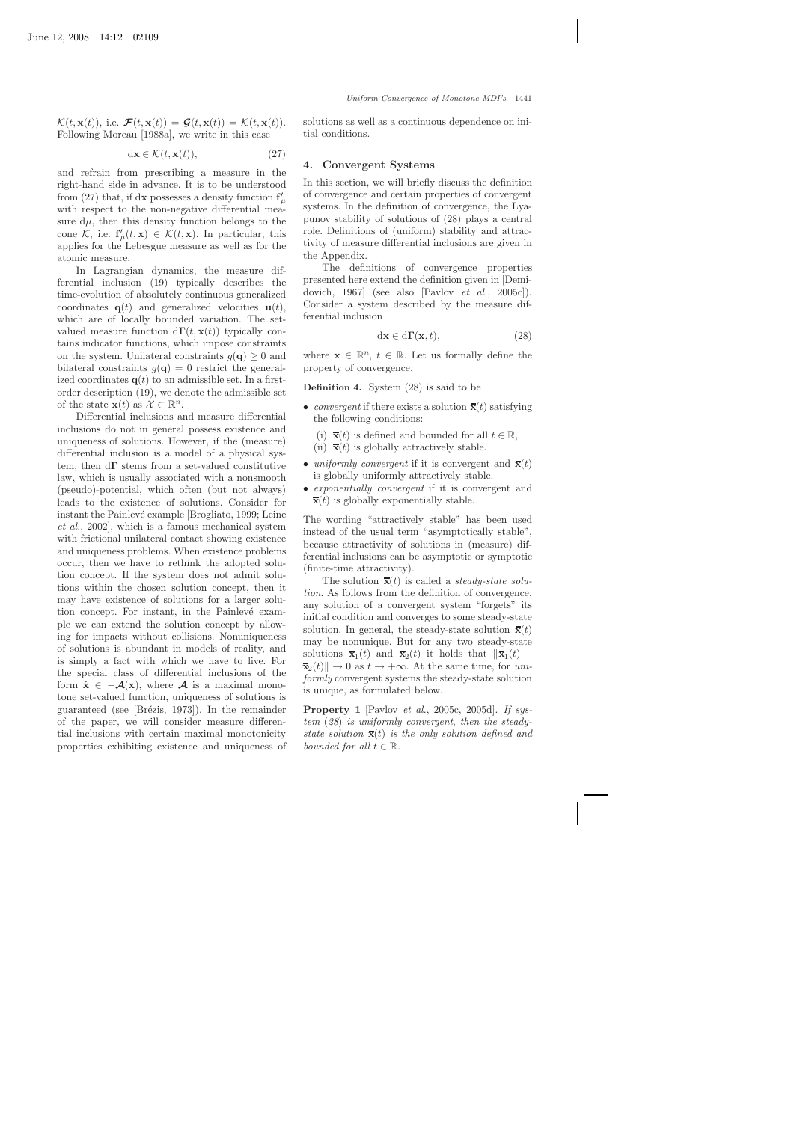$\mathcal{K}(t, \mathbf{x}(t)),$  i.e.  $\mathcal{F}(t, \mathbf{x}(t)) = \mathcal{G}(t, \mathbf{x}(t)) = \mathcal{K}(t, \mathbf{x}(t)).$ Following Moreau [1988a], we write in this case

$$
d\mathbf{x} \in \mathcal{K}(t, \mathbf{x}(t)),\tag{27}
$$

and refrain from prescribing a measure in the right-hand side in advance. It is to be understood from (27) that, if  $d\mathbf{x}$  possesses a density function  $\mathbf{f}_{\mu}^{\prime}$  with respect to the non-negative differential meawith respect to the non-negative differential measure  $d\mu$ , then this density function belongs to the cone K, i.e.  $f'_{\mu}(t, \mathbf{x}) \in K(t, \mathbf{x})$ . In particular, this applies for the Lebesgue measure as well as for the atomic measure.

In Lagrangian dynamics, the measure differential inclusion (19) typically describes the time-evolution of absolutely continuous generalized coordinates  $q(t)$  and generalized velocities  $u(t)$ , which are of locally bounded variation. The setvalued measure function  $d\mathbf{\Gamma}(t, \mathbf{x}(t))$  typically contains indicator functions, which impose constraints on the system. Unilateral constraints  $q(\mathbf{q}) \geq 0$  and bilateral constraints  $q(\mathbf{q}) = 0$  restrict the generalized coordinates  $q(t)$  to an admissible set. In a firstorder description (19), we denote the admissible set of the state  $\mathbf{x}(t)$  as  $\mathcal{X} \subset \mathbb{R}^n$ .

Differential inclusions and measure differential inclusions do not in general possess existence and uniqueness of solutions. However, if the (measure) differential inclusion is a model of a physical system, then d**Γ** stems from a set-valued constitutive law, which is usually associated with a nonsmooth (pseudo)-potential, which often (but not always) leads to the existence of solutions. Consider for instant the Painlevé example [Brogliato, 1999; Leine *et al.*, 2002], which is a famous mechanical system with frictional unilateral contact showing existence and uniqueness problems. When existence problems occur, then we have to rethink the adopted solution concept. If the system does not admit solutions within the chosen solution concept, then it may have existence of solutions for a larger solution concept. For instant, in the Painlevé example we can extend the solution concept by allowing for impacts without collisions. Nonuniqueness of solutions is abundant in models of reality, and is simply a fact with which we have to live. For the special class of differential inclusions of the form  $\dot{\mathbf{x}} \in -\mathcal{A}(\mathbf{x})$ , where  $\mathcal{A}$  is a maximal monotone set-valued function, uniqueness of solutions is guaranteed (see [Brézis, 1973]). In the remainder of the paper, we will consider measure differential inclusions with certain maximal monotonicity properties exhibiting existence and uniqueness of solutions as well as a continuous dependence on initial conditions.

#### **4. Convergent Systems**

In this section, we will briefly discuss the definition of convergence and certain properties of convergent systems. In the definition of convergence, the Lyapunov stability of solutions of (28) plays a central role. Definitions of (uniform) stability and attractivity of measure differential inclusions are given in the Appendix.

The definitions of convergence properties presented here extend the definition given in [Demidovich, 1967] (see also [Pavlov *et al.*, 2005c]). Consider a system described by the measure differential inclusion

$$
d\mathbf{x} \in d\mathbf{\Gamma}(\mathbf{x},t),\tag{28}
$$

where  $\mathbf{x} \in \mathbb{R}^n$ ,  $t \in \mathbb{R}$ . Let us formally define the property of convergence.

**Definition 4.** System (28) is said to be

- *convergent* if there exists a solution  $\bar{\mathbf{x}}(t)$  satisfying the following conditions:
	- (i)  $\bar{\mathbf{x}}(t)$  is defined and bounded for all  $t \in \mathbb{R}$ ,
	- (ii)  $\bar{\mathbf{x}}(t)$  is globally attractively stable.
- *uniformly convergent* if it is convergent and  $\bar{\mathbf{x}}(t)$ is globally uniformly attractively stable.
- *exponentially convergent* if it is convergent and  $\bar{\mathbf{x}}(t)$  is globally exponentially stable.

The wording "attractively stable" has been used instead of the usual term "asymptotically stable", because attractivity of solutions in (measure) differential inclusions can be asymptotic or symptotic (finite-time attractivity).

The solution  $\bar{\mathbf{x}}(t)$  is called a *steady-state solution*. As follows from the definition of convergence, any solution of a convergent system "forgets" its initial condition and converges to some steady-state solution. In general, the steady-state solution  $\bar{\mathbf{x}}(t)$ may be nonunique. But for any two steady-state solutions  $\bar{\mathbf{x}}_1(t)$  and  $\bar{\mathbf{x}}_2(t)$  it holds that  $\|\bar{\mathbf{x}}_1(t) \overline{\mathbf{x}}_2(t)$   $\rightarrow$  0 as  $t \rightarrow +\infty$ . At the same time, for *uniformly* convergent systems the steady-state solution is unique, as formulated below.

**Property 1** [Pavlov *et al.*, 2005c, 2005d]. *If system* (*28*) *is uniformly convergent*, *then the steadystate solution*  $\bar{\mathbf{x}}(t)$  *is the only solution defined and bounded for all*  $t \in \mathbb{R}$ *.*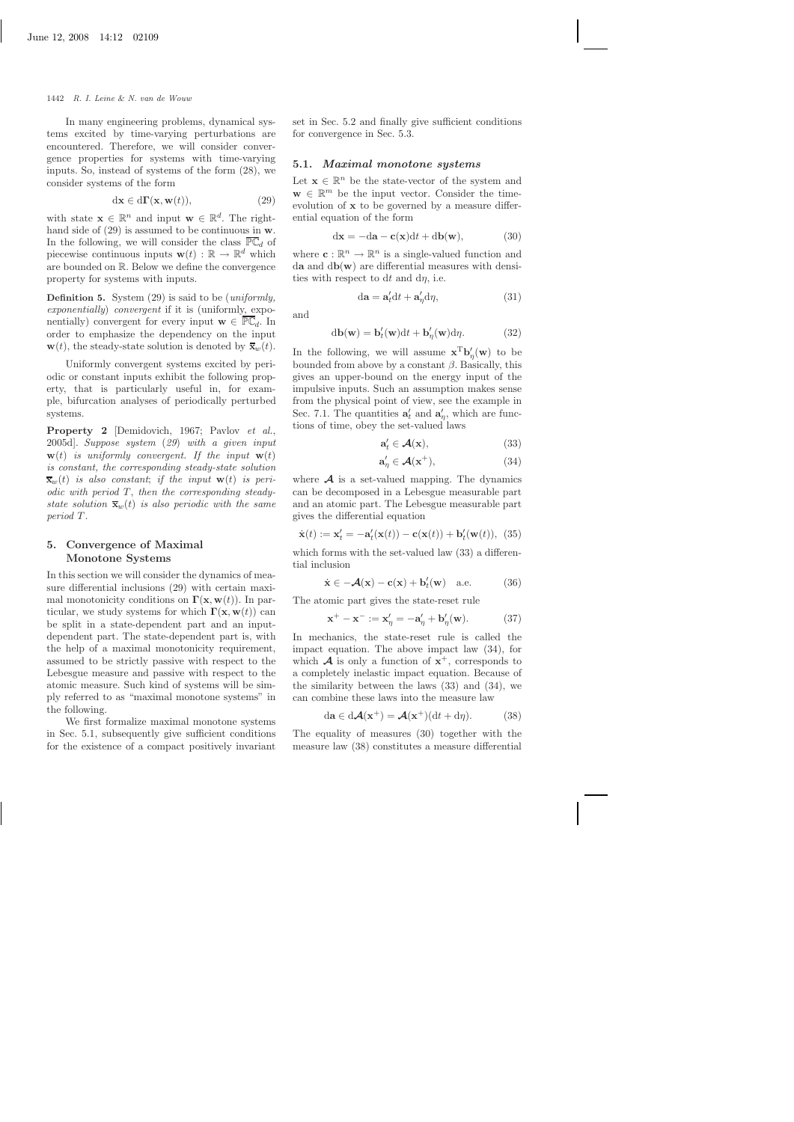In many engineering problems, dynamical systems excited by time-varying perturbations are encountered. Therefore, we will consider convergence properties for systems with time-varying inputs. So, instead of systems of the form (28), we consider systems of the form

$$
dx \in d\Gamma(\mathbf{x}, \mathbf{w}(t)),
$$
\n(29)

with state  $\mathbf{x} \in \mathbb{R}^n$  and input  $\mathbf{w} \in \mathbb{R}^d$ . The right-<br>hand side of (29) is assumed to be continuous in  $\mathbf{w}$ hand side of (29) is assumed to be continuous in **w**. In the following, we will consider the class  $\overline{\mathbb{PC}}_d$  of piecewise continuous inputs  $\mathbf{w}(t) : \mathbb{R} \to \mathbb{R}^d$  which are bounded on R. Below we define the convergence property for systems with inputs.

**Definition 5.** System (29) is said to be (*uniformly, exponentially*) *convergent* if it is (uniformly, exponentially) convergent for every input  $\mathbf{w} \in \overline{\mathbb{PC}}_d$ . In order to emphasize the dependency on the input  $\mathbf{w}(t)$ , the steady-state solution is denoted by  $\overline{\mathbf{x}}_w(t)$ .

Uniformly convergent systems excited by periodic or constant inputs exhibit the following property, that is particularly useful in, for example, bifurcation analyses of periodically perturbed systems.

**Property 2** [Demidovich, 1967; Pavlov *et al.*, 2005d]. *Suppose system* (*29*) *with a given input*  $\mathbf{w}(t)$  *is uniformly convergent. If the input*  $\mathbf{w}(t)$ *is constant, the corresponding steady-state solution*  $\bar{\mathbf{x}}_w(t)$  *is also constant*; *if the input*  $\mathbf{w}(t)$  *is periodic with period* T, then the corresponding steady*state solution*  $\bar{\mathbf{x}}_w(t)$  *is also periodic with the same period* T*.*

# **5. Convergence of Maximal Monotone Systems**

In this section we will consider the dynamics of measure differential inclusions (29) with certain maximal monotonicity conditions on  $\mathbf{\Gamma}(\mathbf{x}, \mathbf{w}(t))$ . In particular, we study systems for which  $\mathbf{\Gamma}(\mathbf{x}, \mathbf{w}(t))$  can be split in a state-dependent part and an inputdependent part. The state-dependent part is, with the help of a maximal monotonicity requirement, assumed to be strictly passive with respect to the Lebesgue measure and passive with respect to the atomic measure. Such kind of systems will be simply referred to as "maximal monotone systems" in the following.

We first formalize maximal monotone systems in Sec. 5.1, subsequently give sufficient conditions for the existence of a compact positively invariant

set in Sec. 5.2 and finally give sufficient conditions for convergence in Sec. 5.3.

#### **5.1.** *Maximal monotone systems*

Let  $\mathbf{x} \in \mathbb{R}^n$  be the state-vector of the system and  $\mathbf{w} \in \mathbb{R}^m$  be the input vector. Consider the timeevolution of **x** to be governed by a measure differential equation of the form

$$
dx = -da - c(x)dt + db(w), \qquad (30)
$$

where  $\mathbf{c} : \mathbb{R}^n \to \mathbb{R}^n$  is a single-valued function and da and  $d\mathbf{b}(\mathbf{w})$  are differential measures with densi<sup>d</sup>**a** and d**b**(**w**) are differential measures with densities with respect to dt and  $d\eta$ , i.e.

$$
d\mathbf{a} = \mathbf{a}'_t dt + \mathbf{a}'_\eta d\eta,
$$
 (31)

and

$$
db(w) = b_t'(w)dt + b_\eta'(w)d\eta.
$$
 (32)

In the following, we will assume  $\mathbf{x}^T \mathbf{b}'_n(\mathbf{w})$  to be<br>bounded from above by a constant  $\beta$  Basically this bounded from above by a constant  $\beta$ . Basically, this gives an upper-bound on the energy input of the impulsive inputs. Such an assumption makes sense from the physical point of view, see the example in Sec. 7.1. The quantities  $\mathbf{a}'_t$  and  $\mathbf{a}'_n$ , which are func-<br>tions of time, obey the set-valued laws tions of time, obey the set-valued laws

$$
\mathbf{a}'_t \in \mathcal{A}(\mathbf{x}),\tag{33}
$$

$$
\mathbf{a}'_{\eta} \in \mathcal{A}(\mathbf{x}^+),\tag{34}
$$

where  $\mathcal A$  is a set-valued mapping. The dynamics can be decomposed in a Lebesgue measurable part and an atomic part. The Lebesgue measurable part gives the differential equation

$$
\dot{\mathbf{x}}(t) := \mathbf{x}'_t = -\mathbf{a}'_t(\mathbf{x}(t)) - \mathbf{c}(\mathbf{x}(t)) + \mathbf{b}'_t(\mathbf{w}(t)), \tag{35}
$$

which forms with the set-valued law (33) a differential inclusion

$$
\dot{\mathbf{x}} \in -\mathcal{A}(\mathbf{x}) - \mathbf{c}(\mathbf{x}) + \mathbf{b}'_t(\mathbf{w}) \quad \text{a.e.} \tag{36}
$$

The atomic part gives the state-reset rule

$$
\mathbf{x}^+ - \mathbf{x}^- := \mathbf{x}'_\eta = -\mathbf{a}'_\eta + \mathbf{b}'_\eta(\mathbf{w}).\tag{37}
$$

In mechanics, the state-reset rule is called the impact equation. The above impact law (34), for which  $\mathcal{A}$  is only a function of  $x^{+}$ , corresponds to a completely inelastic impact equation. Because of the similarity between the laws (33) and (34), we can combine these laws into the measure law

$$
d\mathbf{a} \in d\mathcal{A}(\mathbf{x}^+) = \mathcal{A}(\mathbf{x}^+)(dt + d\eta). \tag{38}
$$

The equality of measures (30) together with the measure law (38) constitutes a measure differential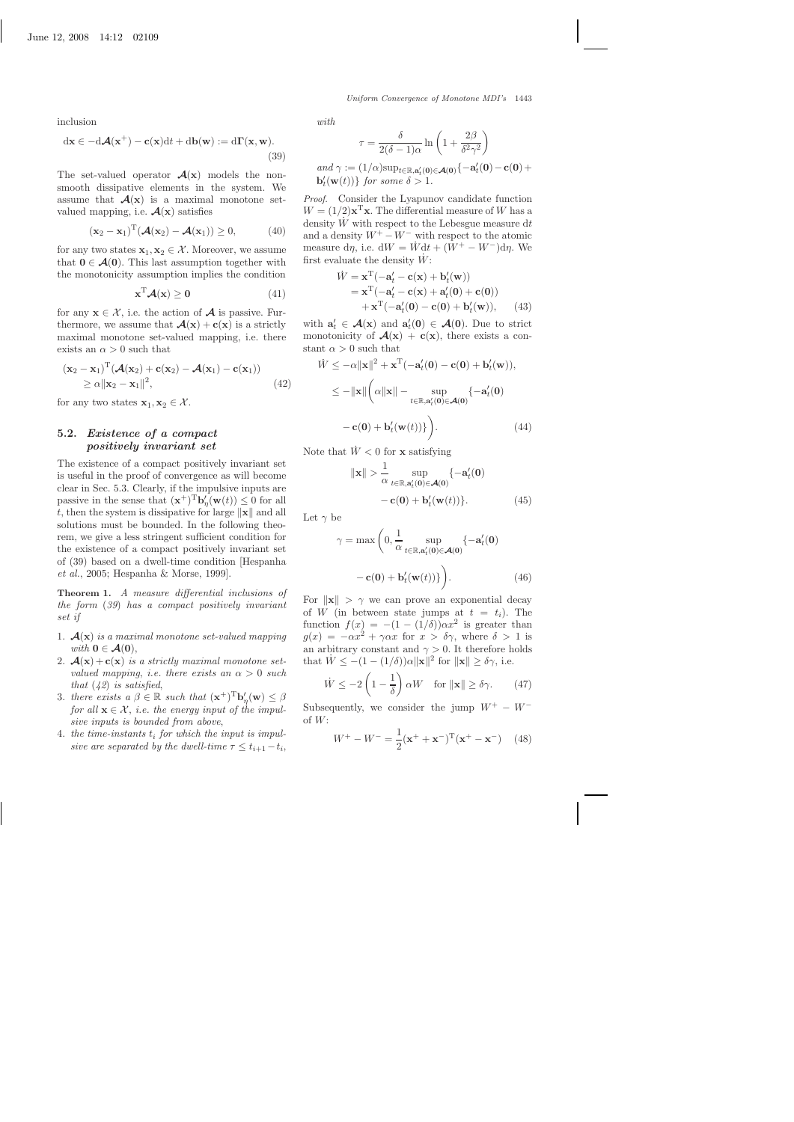inclusion

$$
dx \in -d\mathcal{A}(x^+) - c(x)dt + db(w) := d\Gamma(x, w).
$$
\n(39)

The set-valued operator  $\mathcal{A}(x)$  models the nonsmooth dissipative elements in the system. We assume that  $\mathcal{A}(x)$  is a maximal monotone setvalued mapping, i.e.  $\mathcal{A}(\mathbf{x})$  satisfies

$$
(\mathbf{x}_2 - \mathbf{x}_1)^{\mathrm{T}}(\mathcal{A}(\mathbf{x}_2) - \mathcal{A}(\mathbf{x}_1)) \ge 0, \tag{40}
$$

for any two states  $x_1, x_2 \in \mathcal{X}$ . Moreover, we assume that  $0 \in \mathcal{A}(0)$ . This last assumption together with the monotonicity assumption implies the condition

$$
\mathbf{x}^{\mathrm{T}}\mathcal{A}(\mathbf{x}) \ge \mathbf{0} \tag{41}
$$

for any  $\mathbf{x} \in \mathcal{X}$ , i.e. the action of  $\mathcal{A}$  is passive. Furthermore, we assume that  $\mathcal{A}(\mathbf{x}) + \mathbf{c}(\mathbf{x})$  is a strictly maximal monotone set-valued mapping, i.e. there exists an  $\alpha > 0$  such that

$$
(\mathbf{x}_2 - \mathbf{x}_1)^{\mathrm{T}}(\mathcal{A}(\mathbf{x}_2) + \mathbf{c}(\mathbf{x}_2) - \mathcal{A}(\mathbf{x}_1) - \mathbf{c}(\mathbf{x}_1))
$$
  
\n
$$
\geq \alpha \|\mathbf{x}_2 - \mathbf{x}_1\|^2,
$$
 (42)

for any two states  $\mathbf{x}_1, \mathbf{x}_2 \in \mathcal{X}$ .

# **5.2.** *Existence of a compact positively invariant set*

The existence of a compact positively invariant set is useful in the proof of convergence as will become clear in Sec. 5.3. Clearly, if the impulsive inputs are passive in the sense that  $(\mathbf{x}^+)^T \mathbf{b}'_{\eta}(\mathbf{w}(t)) \leq 0$  for all  $t$  then the system is dissinative for large  $\|\mathbf{x}\|$  and all t, then the system is dissipative for large  $\|\mathbf{x}\|$  and all solutions must be bounded. In the following theorem, we give a less stringent sufficient condition for the existence of a compact positively invariant set of (39) based on a dwell-time condition [Hespanha *et al.*, 2005; Hespanha & Morse, 1999].

**Theorem 1.** *A measure differential inclusions of the form* (*39*) *has a compact positively invariant set if*

- 1. *<sup>A</sup>*(**x**) *is a maximal monotone set-valued mapping with*  $\mathbf{0} \in \mathcal{A}(\mathbf{0}),$
- 2.  $\mathcal{A}(x) + c(x)$  *is a strictly maximal monotone setvalued mapping, i.e. there exists an*  $\alpha > 0$  *such that* (*42*) *is satisfied*,
- 3. *there exists a*  $\beta \in \mathbb{R}$  *such that*  $(\mathbf{x}^+)^T \mathbf{b}'_{\eta}(\mathbf{w}) \leq \beta$ <br>for all  $\mathbf{x} \in \mathcal{X}$  i.e. the energy input of the impul*for all*  $\mathbf{x} \in \mathcal{X}$ , *i.e.* the energy input of the impul*sive inputs is bounded from above*,
- 4. *the time-instants*  $t_i$  *for which the input is impulsive are separated by the dwell-time*  $\tau \leq t_{i+1}-t_i$ ,

*with*

$$
\tau = \frac{\delta}{2(\delta - 1)\alpha} \ln\left(1 + \frac{2\beta}{\delta^2 \gamma^2}\right)
$$

 $and \gamma := (1/\alpha) \sup_{t \in \mathbb{R}, \mathbf{a}'_t(\mathbf{0}) \in \mathcal{A}(\mathbf{0})} \{-\mathbf{a}'_t(\mathbf{0}) - \mathbf{c}(\mathbf{0}) + \mathbf{b}'(\mathbf{w}(t))\}\$  for some  $\delta > 1$  $\mathbf{b}'_t(\mathbf{w}(t))$  *for some*  $\delta > 1$ *.* 

*Proof.* Consider the Lyapunov candidate function  $W = (1/2)\mathbf{x}^T\mathbf{x}$ . The differential measure of W has a density  $\dot{W}$  with respect to the Lebesgue measure dt and a density  $W^+ - W^-$  with respect to the atomic measure d $\eta$ , i.e. d $W = \dot{W}dt + (W^+ - W^-)d\eta$ . We first evaluate the density  $W$ :

$$
\dot{W} = \mathbf{x}^{T}(-\mathbf{a}'_t - \mathbf{c}(\mathbf{x}) + \mathbf{b}'_t(\mathbf{w}))
$$
\n
$$
= \mathbf{x}^{T}(-\mathbf{a}'_t - \mathbf{c}(\mathbf{x}) + \mathbf{a}'_t(0) + \mathbf{c}(0))
$$
\n
$$
+ \mathbf{x}^{T}(-\mathbf{a}'_t(0) - \mathbf{c}(0) + \mathbf{b}'_t(\mathbf{w})), \quad (43)
$$

with  $\mathbf{a}'_t \in \mathcal{A}(\mathbf{x})$  and  $\mathbf{a}'_t(\mathbf{0}) \in \mathcal{A}(\mathbf{0})$ . Due to strict monotonicity of  $\mathcal{A}(\mathbf{x}) + \mathbf{c}(\mathbf{x})$  there exists a conmonotonicity of  $\mathcal{A}(x) + c(x)$ , there exists a constant  $\alpha > 0$  such that

$$
\dot{W} \le -\alpha \|\mathbf{x}\|^2 + \mathbf{x}^{\mathrm{T}}(-\mathbf{a}'_t(\mathbf{0}) - \mathbf{c}(\mathbf{0}) + \mathbf{b}'_t(\mathbf{w})),
$$
\n
$$
\le -\|\mathbf{x}\| \left(\alpha \|\mathbf{x}\| - \sup_{t \in \mathbb{R}, \mathbf{a}'_t(\mathbf{0}) \in \mathcal{A}(\mathbf{0})} \{-\mathbf{a}'_t(\mathbf{0})\} - \mathbf{c}(\mathbf{0}) + \mathbf{b}'_t(\mathbf{w}(t))\}\right).
$$
\n(44)

Note that  $\dot{W} < 0$  for **x** satisfying

$$
\|\mathbf{x}\| > \frac{1}{\alpha} \sup_{t \in \mathbb{R}, \mathbf{a}'_t(\mathbf{0}) \in \mathcal{A}(\mathbf{0})} \{-\mathbf{a}'_t(\mathbf{0}) - \mathbf{c}(\mathbf{0}) + \mathbf{b}'_t(\mathbf{w}(t))\}.
$$
 (45)

Let  $\gamma$  be

$$
\gamma = \max\left(0, \frac{1}{\alpha} \sup_{t \in \mathbb{R}, a'_t(0) \in \mathcal{A}(0)} \{-a'_t(0) - c(0) + b'_t(w(t))\}\right). \tag{46}
$$

For  $\|\mathbf{x}\| > \gamma$  we can prove an exponential decay of W (in between state jumps at  $t = t_i$ ). The function  $f(x) = -(1 - (1/\delta))\alpha x^2$  is greater than  $g(x) = -\alpha x^2 + \gamma \alpha x$  for  $x > \delta \gamma$ , where  $\delta > 1$  is an arbitrary constant and  $\gamma > 0$ . It therefore holds that  $\dot{W} \leq -(1 - (1/\delta))\alpha ||\mathbf{x}||^2$  for  $||\mathbf{x}|| \geq \delta \gamma$ , i.e.

$$
\dot{W} \le -2\left(1 - \frac{1}{\delta}\right)\alpha W \quad \text{for } \|\mathbf{x}\| \ge \delta \gamma. \tag{47}
$$

Subsequently, we consider the jump  $W^+ - W^$ of  $W$ :

$$
W^{+} - W^{-} = \frac{1}{2}(\mathbf{x}^{+} + \mathbf{x}^{-})^{\mathrm{T}}(\mathbf{x}^{+} - \mathbf{x}^{-})
$$
 (48)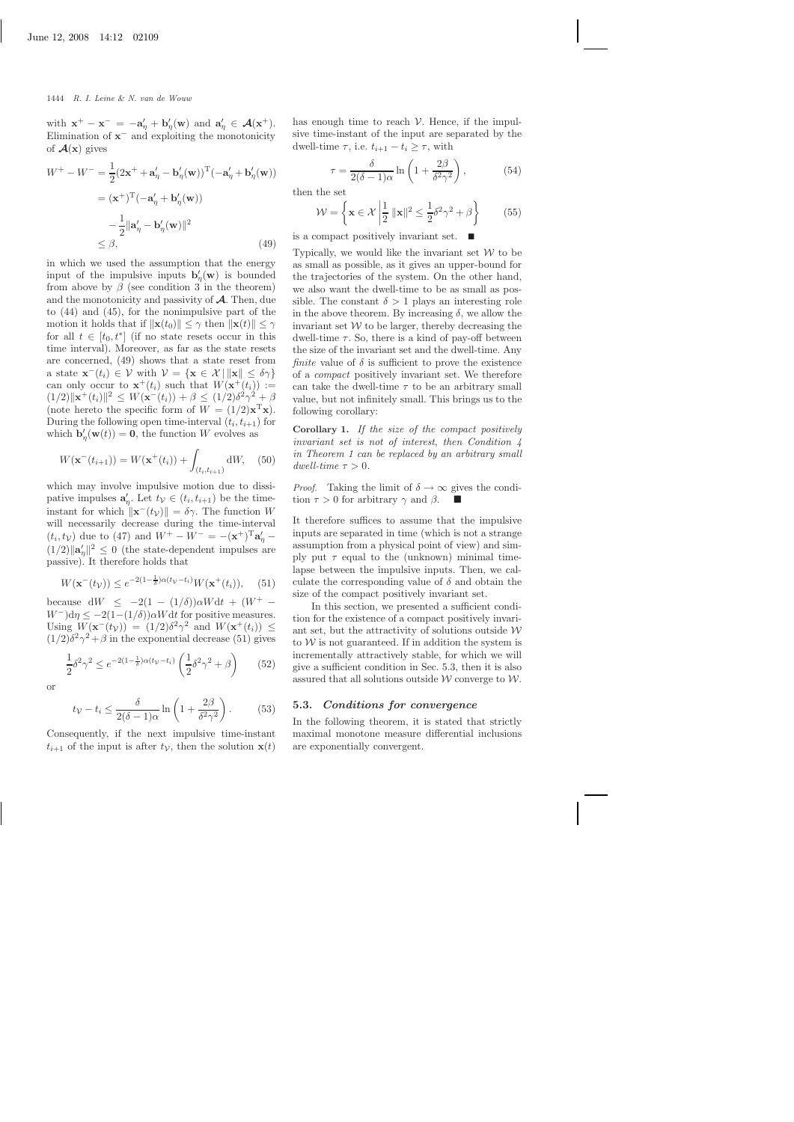with  $\mathbf{x}^+ - \mathbf{x}^- = -\mathbf{a}'_{\eta} + \mathbf{b}'_{\eta}(\mathbf{w})$  and  $\mathbf{a}'_{\eta} \in \mathcal{A}(\mathbf{x}^+)$ .<br>Elimination of  $\mathbf{x}^-$  and exploiting the monotonicity Elimination of **x**<sup>−</sup> and exploiting the monotonicity of  $\mathcal{A}(\mathbf{x})$  gives

$$
W^{+} - W^{-} = \frac{1}{2} (2\mathbf{x}^{+} + \mathbf{a}'_{\eta} - \mathbf{b}'_{\eta}(\mathbf{w}))^{T} (-\mathbf{a}'_{\eta} + \mathbf{b}'_{\eta}(\mathbf{w}))
$$
  

$$
= (\mathbf{x}^{+})^{T} (-\mathbf{a}'_{\eta} + \mathbf{b}'_{\eta}(\mathbf{w}))
$$
  

$$
- \frac{1}{2} ||\mathbf{a}'_{\eta} - \mathbf{b}'_{\eta}(\mathbf{w})||^{2}
$$
  

$$
\leq \beta,
$$
 (49)

in which we used the assumption that the energy input of the impulsive inputs  $\mathbf{b}'_{\eta}(\mathbf{w})$  is bounded<br>from above by  $\beta$  (see condition 3 in the theorem) from above by  $\beta$  (see condition 3 in the theorem) and the monotonicity and passivity of *A*. Then, due to (44) and (45), for the nonimpulsive part of the motion it holds that if  $\|\mathbf{x}(t_0)\| \leq \gamma$  then  $\|\mathbf{x}(t)\| \leq \gamma$ for all  $t \in [t_0, t^*]$  (if no state resets occur in this time interval). Moreover, as far as the state resets are concerned, (49) shows that a state reset from a state  $\mathbf{x}^{-}(t_i) \in \mathcal{V}$  with  $\mathcal{V} = \{\mathbf{x} \in \mathcal{X} \mid ||\mathbf{x}|| \leq \delta \gamma\}$ can only occur to  $\mathbf{x}^+(t_i)$  such that  $W(\mathbf{x}^+(t_i)) :=$  $(1/2)\|\mathbf{x}^+(t_i)\|^2 \leq W(\mathbf{x}^-(t_i)) + \beta \leq (1/2)\delta^2\gamma^2 + \beta$ (note hereto the specific form of  $W = (1/2)\mathbf{x}^T\mathbf{x}$ ). During the following open time-interval  $(t_i, t_{i+1})$  for which  $\mathbf{b}'_{\eta}(\mathbf{w}(t)) = \mathbf{0}$ , the function W evolves as

$$
W(\mathbf{x}^{-}(t_{i+1})) = W(\mathbf{x}^{+}(t_{i})) + \int_{(t_{i}, t_{i+1})} \mathrm{d}W, \quad (50)
$$

which may involve impulsive motion due to dissipative impulses  $\mathbf{a}'_n$ . Let  $t_V \in (t_i, t_{i+1})$  be the time-<br>instant for which  $||\mathbf{x}^{-}(t_1)|| = \delta_{\infty}$ . The function W instant for which  $\|\mathbf{x}^{-}(t_{\mathcal{V}})\| = \delta \gamma$ . The function W will necessarily decrease during the time-interval  $(t_i, t_{\mathcal{V}})$  due to (47) and  $W^+ - W^- = -({\bf x}^+)^T {\bf a}'_n -$ <br>  $(1/2) ||{\bf a}'||^2 < 0$  (the state dependent impulses are  $\frac{(1/2)}{\|a'_\n\|^2} \leq 0$  (the state-dependent impulses are passive) It therefore holds that passive). It therefore holds that

$$
W(\mathbf{x}^-(t_{\mathcal{V}})) \le e^{-2(1-\frac{1}{\delta})\alpha(t_{\mathcal{V}} - t_i)} W(\mathbf{x}^+(t_i)), \quad (51)
$$

because dW  $\leq -2(1 - (1/\delta))\alpha Wdt + (W^+ W^-$ )d $\eta \leq -2(1-(1/\delta))\alpha W$ dt for positive measures. Using  $W(\mathbf{x}^{-}(t_{\mathcal{V}})) = (1/2)\delta^{2}\gamma^{2}$  and  $W(\mathbf{x}^{+}(t_{i})) \leq$  $(1/2)\delta^2\gamma^2 + \beta$  in the exponential decrease (51) gives

$$
\frac{1}{2}\delta^2\gamma^2 \le e^{-2(1-\frac{1}{\delta})\alpha(t_V - t_i)} \left(\frac{1}{2}\delta^2\gamma^2 + \beta\right) \tag{52}
$$

or

$$
t_{\mathcal{V}} - t_i \le \frac{\delta}{2(\delta - 1)\alpha} \ln\left(1 + \frac{2\beta}{\delta^2 \gamma^2}\right). \tag{53}
$$

Consequently, if the next impulsive time-instant  $t_{i+1}$  of the input is after  $t_{\mathcal{V}}$ , then the solution  $\mathbf{x}(t)$  has enough time to reach  $V$ . Hence, if the impulsive time-instant of the input are separated by the dwell-time  $\tau$ , i.e.  $t_{i+1} - t_i \geq \tau$ , with

$$
\tau = \frac{\delta}{2(\delta - 1)\alpha} \ln \left( 1 + \frac{2\beta}{\delta^2 \gamma^2} \right),\tag{54}
$$

then the set

$$
\mathcal{W} = \left\{ \mathbf{x} \in \mathcal{X} \middle| \frac{1}{2} \|\mathbf{x}\|^2 \le \frac{1}{2} \delta^2 \gamma^2 + \beta \right\} \tag{55}
$$

is a compact positively invariant set.

Typically, we would like the invariant set  $W$  to be as small as possible, as it gives an upper-bound for the trajectories of the system. On the other hand, we also want the dwell-time to be as small as possible. The constant  $\delta > 1$  plays an interesting role in the above theorem. By increasing  $\delta$ , we allow the invariant set  $W$  to be larger, thereby decreasing the dwell-time  $\tau$ . So, there is a kind of pay-off between the size of the invariant set and the dwell-time. Any *finite* value of  $\delta$  is sufficient to prove the existence of a *compact* positively invariant set. We therefore can take the dwell-time  $\tau$  to be an arbitrary small value, but not infinitely small. This brings us to the following corollary:

**Corollary 1.** *If the size of the compact positively invariant set is not of interest*, *then Condition 4 in Theorem 1 can be replaced by an arbitrary small*  $dwell-time \tau > 0$ .

*Proof.* Taking the limit of  $\delta \rightarrow \infty$  gives the condition  $\tau > 0$  for arbitrary  $\gamma$  and  $\beta$ .

It therefore suffices to assume that the impulsive inputs are separated in time (which is not a strange assumption from a physical point of view) and simply put  $\tau$  equal to the (unknown) minimal timelapse between the impulsive inputs. Then, we calculate the corresponding value of  $\delta$  and obtain the size of the compact positively invariant set.

In this section, we presented a sufficient condition for the existence of a compact positively invariant set, but the attractivity of solutions outside  $W$ to  $W$  is not guaranteed. If in addition the system is incrementally attractively stable, for which we will give a sufficient condition in Sec. 5.3, then it is also assured that all solutions outside  $W$  converge to  $W$ .

#### **5.3.** *Conditions for convergence*

In the following theorem, it is stated that strictly maximal monotone measure differential inclusions are exponentially convergent.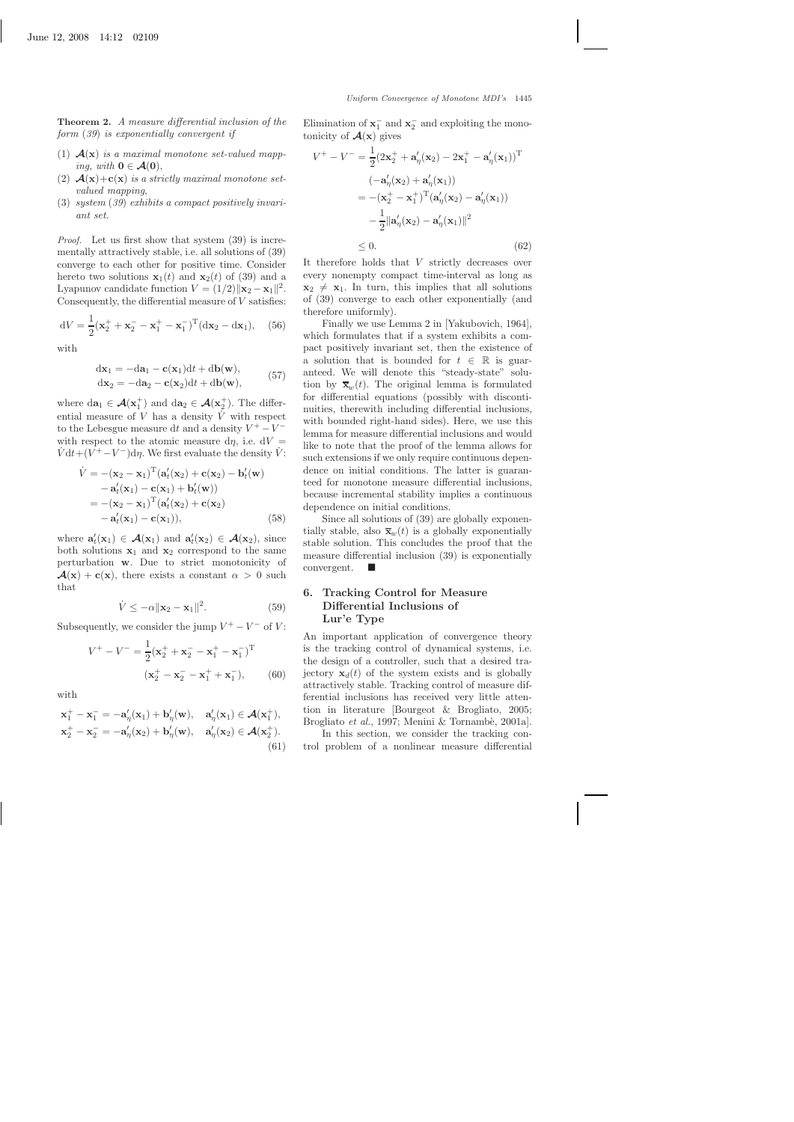**Theorem 2.** *A measure differential inclusion of the form* (*39*) *is exponentially convergent if*

- (1) *<sup>A</sup>*(**x**) *is a maximal monotone set-valued mapping*, *with*  $\mathbf{0} \in \mathcal{A}(\mathbf{0}),$
- (2)  $\mathcal{A}(x)+c(x)$  *is a strictly maximal monotone setvalued mapping*,
- (3) *system* (*39*) *exhibits a compact positively invariant set.*

*Proof.* Let us first show that system (39) is incrementally attractively stable, i.e. all solutions of (39) converge to each other for positive time. Consider hereto two solutions  $\mathbf{x}_1(t)$  and  $\mathbf{x}_2(t)$  of (39) and a Lyapunov candidate function  $V = (1/2) ||\mathbf{x}_2 - \mathbf{x}_1||^2$ . Consequently, the differential measure of  $V$  satisfies:

$$
dV = \frac{1}{2}(\mathbf{x}_2^+ + \mathbf{x}_2^- - \mathbf{x}_1^+ - \mathbf{x}_1^-)^T (\mathbf{dx}_2 - \mathbf{dx}_1), \quad (56)
$$

with

$$
\begin{aligned} \mathrm{d}\mathbf{x}_1 &= -\mathrm{d}\mathbf{a}_1 - \mathbf{c}(\mathbf{x}_1) \mathrm{d}t + \mathrm{d}\mathbf{b}(\mathbf{w}), \\ \mathrm{d}\mathbf{x}_2 &= -\mathrm{d}\mathbf{a}_2 - \mathbf{c}(\mathbf{x}_2) \mathrm{d}t + \mathrm{d}\mathbf{b}(\mathbf{w}), \end{aligned} \tag{57}
$$

where  $d\mathbf{a}_1 \in \mathcal{A}(\mathbf{x}_1^+)$  and  $d\mathbf{a}_2 \in \mathcal{A}(\mathbf{x}_2^+)$ . The differ-<br>ontial measure of *V* has a density *V* with respect ential measure of V has a density  $\dot{V}$  with respect to the Lebesgue measure dt and a density  $V^+ - V^$ with respect to the atomic measure d $\eta$ , i.e.  $dV =$  $V dt + (V^+ - V^-) d\eta$ . We first evaluate the density V:

$$
\dot{V} = -(\mathbf{x}_2 - \mathbf{x}_1)^{\mathrm{T}} (\mathbf{a}'_t(\mathbf{x}_2) + \mathbf{c}(\mathbf{x}_2) - \mathbf{b}'_t(\mathbf{w})
$$
  
\n
$$
- \mathbf{a}'_t(\mathbf{x}_1) - \mathbf{c}(\mathbf{x}_1) + \mathbf{b}'_t(\mathbf{w}))
$$
  
\n
$$
= -(\mathbf{x}_2 - \mathbf{x}_1)^{\mathrm{T}} (\mathbf{a}'_t(\mathbf{x}_2) + \mathbf{c}(\mathbf{x}_2)
$$
  
\n
$$
- \mathbf{a}'_t(\mathbf{x}_1) - \mathbf{c}(\mathbf{x}_1)),
$$
\n(58)

where  $\mathbf{a}'_t(\mathbf{x}_1) \in \mathcal{A}(\mathbf{x}_1)$  and  $\mathbf{a}'_t(\mathbf{x}_2) \in \mathcal{A}(\mathbf{x}_2)$ , since both solutions  $\mathbf{x}_t$  and  $\mathbf{x}_t$  correspond to the same both solutions  $x_1$  and  $x_2$  correspond to the same perturbation **w**. Due to strict monotonicity of  $\mathcal{A}(\mathbf{x}) + \mathbf{c}(\mathbf{x})$ , there exists a constant  $\alpha > 0$  such that

$$
\dot{V} \le -\alpha \|\mathbf{x}_2 - \mathbf{x}_1\|^2. \tag{59}
$$

Subsequently, we consider the jump  $V^+ - V^-$  of V:

$$
V^{+} - V^{-} = \frac{1}{2} (\mathbf{x}_{2}^{+} + \mathbf{x}_{2}^{-} - \mathbf{x}_{1}^{+} - \mathbf{x}_{1}^{-})^{\mathrm{T}}
$$

$$
(\mathbf{x}_{2}^{+} - \mathbf{x}_{2}^{-} - \mathbf{x}_{1}^{+} + \mathbf{x}_{1}^{-}), \qquad (60)
$$

with

$$
\mathbf{x}_1^+ - \mathbf{x}_1^- = -\mathbf{a}'_\eta(\mathbf{x}_1) + \mathbf{b}'_\eta(\mathbf{w}), \quad \mathbf{a}'_\eta(\mathbf{x}_1) \in \mathcal{A}(\mathbf{x}_1^+), \n\mathbf{x}_2^+ - \mathbf{x}_2^- = -\mathbf{a}'_\eta(\mathbf{x}_2) + \mathbf{b}'_\eta(\mathbf{w}), \quad \mathbf{a}'_\eta(\mathbf{x}_2) \in \mathcal{A}(\mathbf{x}_2^+).
$$
\n(61)

Elimination of  $\mathbf{x}_1^-$  and  $\mathbf{x}_2^-$  and exploiting the mono-<br>tonicity of  $\mathbf{A}(\mathbf{x})$  gives tonicity of  $\mathcal{A}(\mathbf{x})$  gives

$$
V^+ - V^- = \frac{1}{2} (2\mathbf{x}_2^+ + \mathbf{a}'_\eta(\mathbf{x}_2) - 2\mathbf{x}_1^+ - \mathbf{a}'_\eta(\mathbf{x}_1))^{\mathrm{T}}
$$
  
\n
$$
= (-\mathbf{a}'_\eta(\mathbf{x}_2) + \mathbf{a}'_\eta(\mathbf{x}_1))
$$
  
\n
$$
= -(\mathbf{x}_2^+ - \mathbf{x}_1^+)^{\mathrm{T}} (\mathbf{a}'_\eta(\mathbf{x}_2) - \mathbf{a}'_\eta(\mathbf{x}_1))
$$
  
\n
$$
- \frac{1}{2} ||\mathbf{a}'_\eta(\mathbf{x}_2) - \mathbf{a}'_\eta(\mathbf{x}_1)||^2
$$
  
\n
$$
\leq 0. \tag{62}
$$

It therefore holds that V strictly decreases over every nonempty compact time-interval as long as  $\mathbf{x}_2 \neq \mathbf{x}_1$ . In turn, this implies that all solutions<br>of (39) converge to each other exponentially (and of (39) converge to each other exponentially (and therefore uniformly).

Finally we use Lemma 2 in [Yakubovich, 1964], which formulates that if a system exhibits a compact positively invariant set, then the existence of a solution that is bounded for  $t \in \mathbb{R}$  is guaranteed. We will denote this "steady-state" solution by  $\bar{\mathbf{x}}_w(t)$ . The original lemma is formulated for differential equations (possibly with discontinuities, therewith including differential inclusions, with bounded right-hand sides). Here, we use this lemma for measure differential inclusions and would like to note that the proof of the lemma allows for such extensions if we only require continuous dependence on initial conditions. The latter is guaranteed for monotone measure differential inclusions, because incremental stability implies a continuous dependence on initial conditions.

Since all solutions of (39) are globally exponentially stable, also  $\bar{\mathbf{x}}_w(t)$  is a globally exponentially stable solution. This concludes the proof that the measure differential inclusion (39) is exponentially convergent.

# **6. Tracking Control for Measure Differential Inclusions of Lur'e Type**

An important application of convergence theory is the tracking control of dynamical systems, i.e. the design of a controller, such that a desired trajectory  $\mathbf{x}_d(t)$  of the system exists and is globally attractively stable. Tracking control of measure differential inclusions has received very little attention in literature [Bourgeot & Brogliato, 2005; Brogliato *et al.*, 1997; Menini & Tornambè, 2001a].

In this section, we consider the tracking control problem of a nonlinear measure differential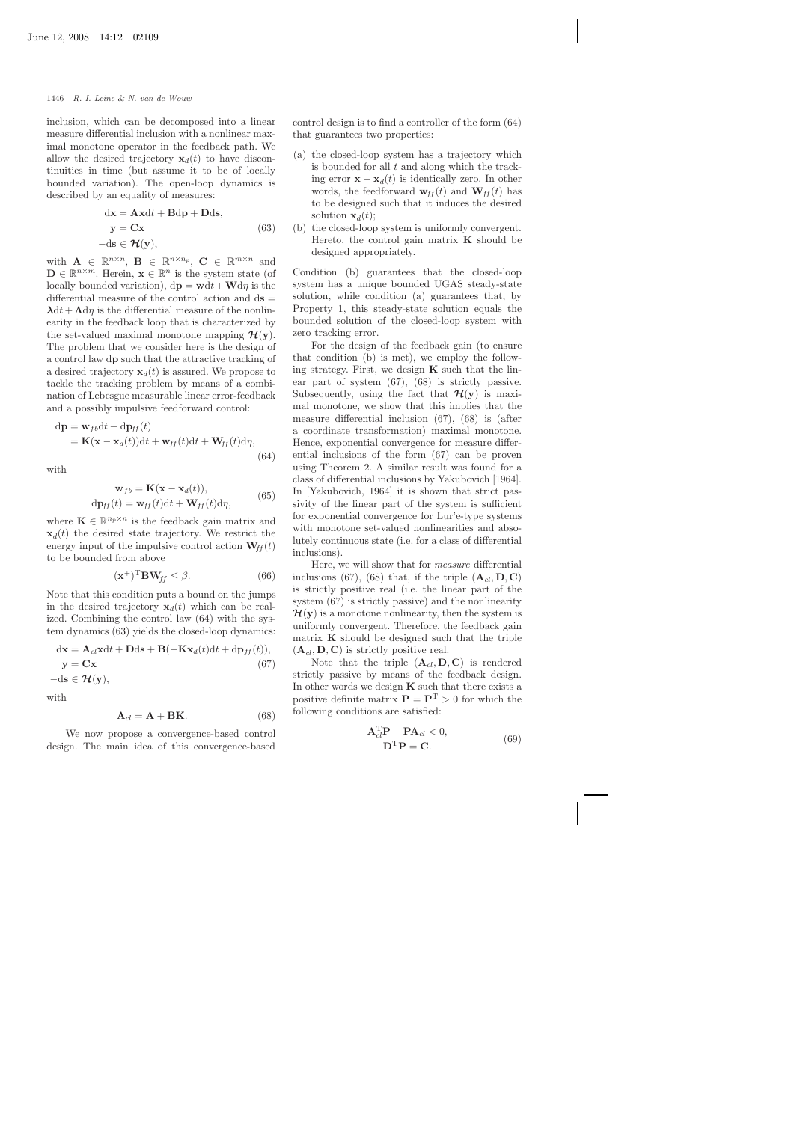inclusion, which can be decomposed into a linear measure differential inclusion with a nonlinear maximal monotone operator in the feedback path. We allow the desired trajectory  $x_d(t)$  to have discontinuities in time (but assume it to be of locally bounded variation). The open-loop dynamics is described by an equality of measures:

$$
dx = Axdt + Bdp + Dds,y = Cx
$$
\n(63)  
\n
$$
-ds \in \mathcal{H}(y),
$$

with  $\mathbf{A} \in \mathbb{R}^{n \times n}$ ,  $\mathbf{B} \in \mathbb{R}^{n \times n_p}$ ,  $\mathbf{C} \in \mathbb{R}^{m \times n}$  and  $\mathbf{D} \in \mathbb{R}^{n \times m}$ . Herein,  $\mathbf{x} \in \mathbb{R}^n$  is the system state (of locally bounded variation),  $d\mathbf{p} = \mathbf{w}dt + \mathbf{W}d\eta$  is the differential measure of the control action and d**s** <sup>=</sup>  $\lambda dt + \Lambda d\eta$  is the differential measure of the nonlinearity in the feedback loop that is characterized by the set-valued maximal monotone mapping  $\mathcal{H}(y)$ . The problem that we consider here is the design of a control law d**p** such that the attractive tracking of a desired trajectory  $\mathbf{x}_d(t)$  is assured. We propose to tackle the tracking problem by means of a combination of Lebesgue measurable linear error-feedback and a possibly impulsive feedforward control:

$$
\begin{aligned} \mathbf{d}\mathbf{p} &= \mathbf{w}_{fb} \mathbf{d}t + \mathbf{d}\mathbf{p}_{ff}(t) \\ &= \mathbf{K}(\mathbf{x} - \mathbf{x}_d(t))\mathbf{d}t + \mathbf{w}_{ff}(t)\mathbf{d}t + \mathbf{W}_{ff}(t)\mathbf{d}\eta, \end{aligned} \tag{64}
$$

with

$$
\mathbf{w}_{fb} = \mathbf{K}(\mathbf{x} - \mathbf{x}_d(t)),
$$
  
\n
$$
\mathrm{d}\mathbf{p}_{ff}(t) = \mathbf{w}_{ff}(t)\mathrm{d}t + \mathbf{W}_{ff}(t)\mathrm{d}\eta,
$$
\n(65)

where  $\mathbf{K} \in \mathbb{R}^{n_p \times n}$  is the feedback gain matrix and  $x_d(t)$  the desired state trajectory. We restrict the energy input of the impulsive control action  $W_{ff}(t)$ to be bounded from above

$$
(\mathbf{x}^+)^{\mathrm{T}} \mathbf{B} \mathbf{W}_{\!f\!f} \leq \beta. \tag{66}
$$

Note that this condition puts a bound on the jumps in the desired trajectory  $x_d(t)$  which can be realized. Combining the control law (64) with the system dynamics (63) yields the closed-loop dynamics:

$$
dx = A_{cl}xdt + Dds + B(-Kx_d(t)dt + dp_{ff}(t)),
$$
  
y = Cx (67)

$$
-\mathrm{d}\mathbf{s}\in\boldsymbol{\mathcal{H}}(\mathbf{y}),
$$

with

$$
\mathbf{A}_{cl} = \mathbf{A} + \mathbf{B}\mathbf{K}.\tag{68}
$$

We now propose a convergence-based control design. The main idea of this convergence-based control design is to find a controller of the form (64) that guarantees two properties:

- (a) the closed-loop system has a trajectory which is bounded for all  $t$  and along which the tracking error  $\mathbf{x} - \mathbf{x}_d(t)$  is identically zero. In other words, the feedforward  $\mathbf{w}_{ff}(t)$  and  $\mathbf{W}_{ff}(t)$  has to be designed such that it induces the desired solution  $\mathbf{x}_d(t)$ ;
- (b) the closed-loop system is uniformly convergent. Hereto, the control gain matrix  $\bf{K}$  should be designed appropriately.

Condition (b) guarantees that the closed-loop system has a unique bounded UGAS steady-state solution, while condition (a) guarantees that, by Property 1, this steady-state solution equals the bounded solution of the closed-loop system with zero tracking error.

For the design of the feedback gain (to ensure that condition (b) is met), we employ the following strategy. First, we design **K** such that the linear part of system (67), (68) is strictly passive. Subsequently, using the fact that  $\mathcal{H}(y)$  is maximal monotone, we show that this implies that the measure differential inclusion (67), (68) is (after a coordinate transformation) maximal monotone. Hence, exponential convergence for measure differential inclusions of the form (67) can be proven using Theorem 2. A similar result was found for a class of differential inclusions by Yakubovich [1964]. In [Yakubovich, 1964] it is shown that strict passivity of the linear part of the system is sufficient for exponential convergence for Lur'e-type systems with monotone set-valued nonlinearities and absolutely continuous state (i.e. for a class of differential inclusions).

Here, we will show that for *measure* differential inclusions (67), (68) that, if the triple  $(\mathbf{A}_{cl}, \mathbf{D}, \mathbf{C})$ is strictly positive real (i.e. the linear part of the system (67) is strictly passive) and the nonlinearity  $\mathcal{H}(y)$  is a monotone nonlinearity, then the system is uniformly convergent. Therefore, the feedback gain matrix **K** should be designed such that the triple  $(A_{cl}, D, C)$  is strictly positive real.

Note that the triple  $(A_{cl}, D, C)$  is rendered strictly passive by means of the feedback design. In other words we design **K** such that there exists a positive definite matrix  $\mathbf{P} = \mathbf{P}^T > 0$  for which the following conditions are satisfied:

$$
\mathbf{A}_{cl}^{\mathrm{T}} \mathbf{P} + \mathbf{P} \mathbf{A}_{cl} < 0,
$$
  

$$
\mathbf{D}^{\mathrm{T}} \mathbf{P} = \mathbf{C}.
$$
 (69)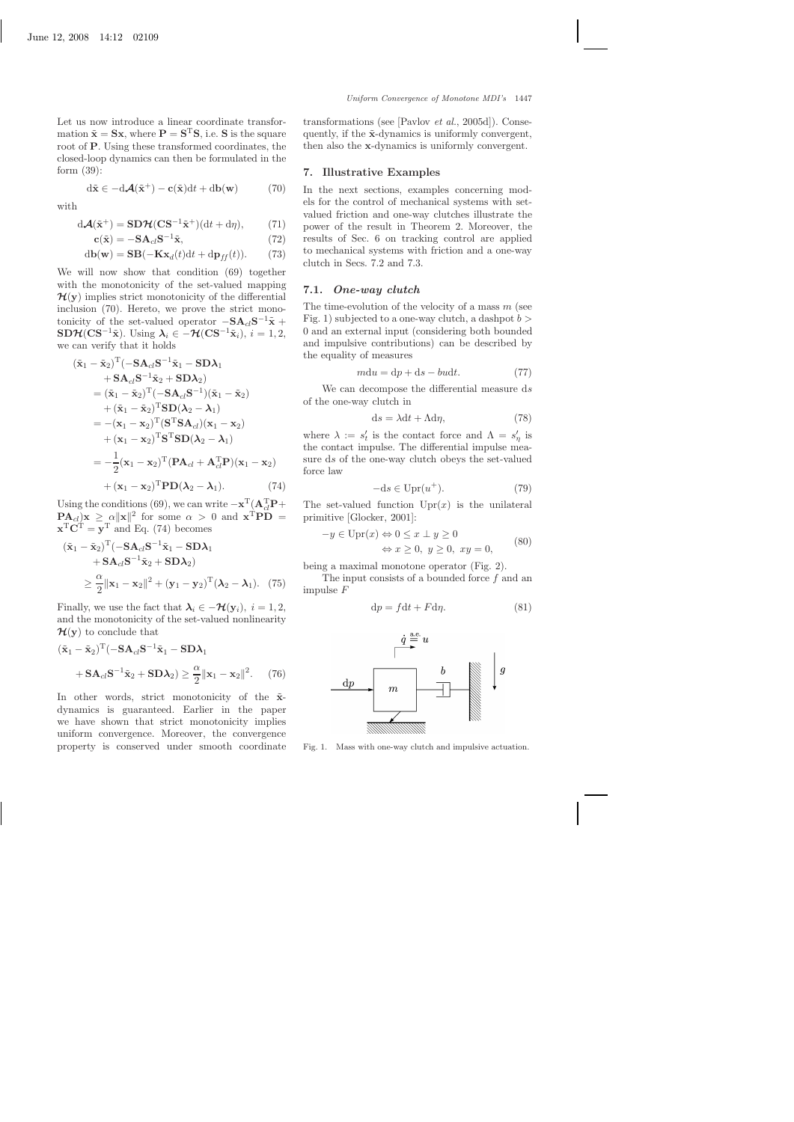$$
d\tilde{\mathbf{x}} \in -d\mathcal{A}(\tilde{\mathbf{x}}^{+}) - \mathbf{c}(\tilde{\mathbf{x}})dt + d\mathbf{b}(\mathbf{w})
$$
 (70)

with

$$
d\mathcal{A}(\tilde{\mathbf{x}}^{+}) = \mathbf{SDH}(\mathbf{CS}^{-1}\tilde{\mathbf{x}}^{+})(dt + d\eta), \qquad (71)
$$

$$
\mathbf{c}(\tilde{\mathbf{x}}) = -\mathbf{S}\mathbf{A}_{cl}\mathbf{S}^{-1}\tilde{\mathbf{x}},\tag{72}
$$

$$
d\mathbf{b}(\mathbf{w}) = \mathbf{SB}(-\mathbf{K}\mathbf{x}_d(t)dt + d\mathbf{p}_{ff}(t)).
$$
 (73)

We will now show that condition (69) together with the monotonicity of the set-valued mapping  $\mathcal{H}(y)$  implies strict monotonicity of the differential inclusion (70). Hereto, we prove the strict monotonicity of the set-valued operator  $-\mathbf{S}\mathbf{A}_{c} \mathbf{S}^{-1} \tilde{\mathbf{x}} + \mathbf{A}_{c} \mathbf{S}^{-1} \tilde{\mathbf{x}}$ **SD***H*(**CS**<sup>−1</sup> $\tilde{\mathbf{x}}$ <sup>i</sup>). Using  $\lambda_i \in -\mathcal{H}(\mathbf{CS}^{-1}\tilde{\mathbf{x}}_i)$ ,  $i = 1, 2$ , we can verify that it holds

$$
(\tilde{\mathbf{x}}_1 - \tilde{\mathbf{x}}_2)^{\mathrm{T}}(-\mathbf{S}\mathbf{A}_{cl}\mathbf{S}^{-1}\tilde{\mathbf{x}}_1 - \mathbf{SD}\boldsymbol{\lambda}_1 + \mathbf{S}\mathbf{A}_{cl}\mathbf{S}^{-1}\tilde{\mathbf{x}}_2 + \mathbf{SD}\boldsymbol{\lambda}_2) = (\tilde{\mathbf{x}}_1 - \tilde{\mathbf{x}}_2)^{\mathrm{T}}(-\mathbf{S}\mathbf{A}_{cl}\mathbf{S}^{-1})(\tilde{\mathbf{x}}_1 - \tilde{\mathbf{x}}_2) + (\tilde{\mathbf{x}}_1 - \tilde{\mathbf{x}}_2)^{\mathrm{T}}\mathbf{SD}(\boldsymbol{\lambda}_2 - \boldsymbol{\lambda}_1) = -(\mathbf{x}_1 - \mathbf{x}_2)^{\mathrm{T}}(\mathbf{S}^{\mathrm{T}}\mathbf{S}\mathbf{A}_{cl})(\mathbf{x}_1 - \mathbf{x}_2) + (\mathbf{x}_1 - \mathbf{x}_2)^{\mathrm{T}}\mathbf{S}^{\mathrm{T}}\mathbf{SD}(\boldsymbol{\lambda}_2 - \boldsymbol{\lambda}_1) = -\frac{1}{2}(\mathbf{x}_1 - \mathbf{x}_2)^{\mathrm{T}}(\mathbf{PA}_{cl} + \mathbf{A}_{cl}^{\mathrm{T}}\mathbf{P})(\mathbf{x}_1 - \mathbf{x}_2) + (\mathbf{x}_1 - \mathbf{x}_2)^{\mathrm{T}}\mathbf{PD}(\boldsymbol{\lambda}_2 - \boldsymbol{\lambda}_1).
$$
(74)

Using the conditions (69), we can write  $-\mathbf{x}^T(\mathbf{A}_{cl}^T\mathbf{P}+\mathbf{A}_{cl})\mathbf{x} > \alpha \|\mathbf{x}\|^2$  for some  $\alpha > 0$  and  $\mathbf{x}^T\mathbf{P}\mathbf{D}$  $\mathbf{PA}_{cl}|\mathbf{x} \ge \alpha ||\mathbf{x}||^2$  for some  $\alpha > 0$  and  $\mathbf{x}^T \mathbf{PD} = \mathbf{x}^T \mathbf{C}^T - \mathbf{x}^T$  and Eq. (74) becomes  $\mathbf{x}^{\mathrm{T}}\mathbf{C}^{\mathrm{T}} = \mathbf{y}^{\mathrm{T}}$  and Eq. (74) becomes

$$
(\tilde{\mathbf{x}}_1 - \tilde{\mathbf{x}}_2)^{\mathrm{T}}(-\mathbf{S}\mathbf{A}_{cl}\mathbf{S}^{-1}\tilde{\mathbf{x}}_1 - \mathbf{S}\mathbf{D}\boldsymbol{\lambda}_1 + \mathbf{S}\mathbf{A}_{cl}\mathbf{S}^{-1}\tilde{\mathbf{x}}_2 + \mathbf{S}\mathbf{D}\boldsymbol{\lambda}_2) \geq \frac{\alpha}{2} ||\mathbf{x}_1 - \mathbf{x}_2||^2 + (\mathbf{y}_1 - \mathbf{y}_2)^{\mathrm{T}}(\boldsymbol{\lambda}_2 - \boldsymbol{\lambda}_1).
$$
 (75)

Finally, we use the fact that  $\lambda_i \in -\mathcal{H}(\mathbf{y}_i), i = 1, 2$ , and the monotonicity of the set-valued nonlinearity  $\mathcal{H}(y)$  to conclude that

$$
(\tilde{\mathbf{x}}_1 - \tilde{\mathbf{x}}_2)^{\mathrm{T}}(-\mathbf{S}\mathbf{A}_{cl}\mathbf{S}^{-1}\tilde{\mathbf{x}}_1 - \mathbf{S}\mathbf{D}\boldsymbol{\lambda}_1 + \mathbf{S}\mathbf{A}_{cl}\mathbf{S}^{-1}\tilde{\mathbf{x}}_2 + \mathbf{S}\mathbf{D}\boldsymbol{\lambda}_2) \ge \frac{\alpha}{2} ||\mathbf{x}_1 - \mathbf{x}_2||^2.
$$
 (76)

In other words, strict monotonicity of the  $\tilde{\mathbf{x}}$ dynamics is guaranteed. Earlier in the paper we have shown that strict monotonicity implies uniform convergence. Moreover, the convergence property is conserved under smooth coordinate transformations (see [Pavlov *et al.*, 2005d]). Consequently, if the  $\tilde{\mathbf{x}}$ -dynamics is uniformly convergent, then also the **x**-dynamics is uniformly convergent.

#### **7. Illustrative Examples**

In the next sections, examples concerning models for the control of mechanical systems with setvalued friction and one-way clutches illustrate the power of the result in Theorem 2. Moreover, the results of Sec. 6 on tracking control are applied to mechanical systems with friction and a one-way clutch in Secs. 7.2 and 7.3.

#### **7.1.** *One-way clutch*

The time-evolution of the velocity of a mass  $m$  (see Fig. 1) subjected to a one-way clutch, a dashpot  $b >$ 0 and an external input (considering both bounded and impulsive contributions) can be described by the equality of measures

$$
mdu = dp + ds - budt.
$$
 (77)

We can decompose the differential measure ds of the one-way clutch in

$$
ds = \lambda dt + \Lambda d\eta, \qquad (78)
$$

where  $\lambda := s'_t$  is the contact force and  $\Lambda = s'_n$  is the contact impulse. The differential impulse measure ds of the one-way clutch obeys the set-valued force law

$$
-ds \in \text{Upr}(u^+). \tag{79}
$$

The set-valued function  $Upr(x)$  is the unilateral primitive [Glocker, 2001]:

$$
-y \in \text{Upr}(x) \Leftrightarrow 0 \le x \perp y \ge 0
$$
  

$$
\Leftrightarrow x \ge 0, y \ge 0, xy = 0,
$$
 (80)

being a maximal monotone operator (Fig. 2).

The input consists of a bounded force  $f$  and an impulse F

$$
dp = fdt + Fd\eta.
$$
 (81)



Fig. 1. Mass with one-way clutch and impulsive actuation.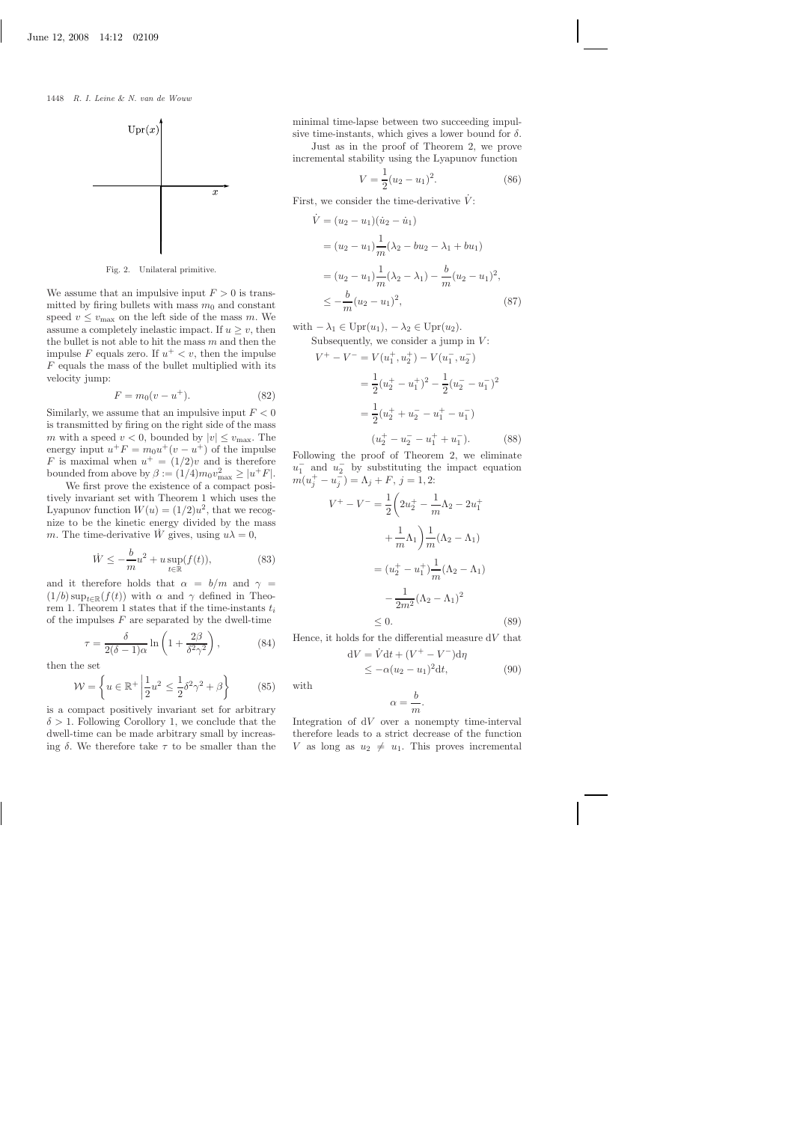

Fig. 2. Unilateral primitive.

We assume that an impulsive input  $F > 0$  is transmitted by firing bullets with mass  $m_0$  and constant speed  $v \leq v_{\text{max}}$  on the left side of the mass m. We assume a completely inelastic impact. If  $u \geq v$ , then the bullet is not able to hit the mass  $m$  and then the impulse F equals zero. If  $u^+ < v$ , then the impulse F equals the mass of the bullet multiplied with its velocity jump:

$$
F = m_0(v - u^+). \tag{82}
$$

Similarly, we assume that an impulsive input  $F < 0$ is transmitted by firing on the right side of the mass m with a speed  $v < 0$ , bounded by  $|v| \le v_{\text{max}}$ . The energy input  $u^+F = m_0u^+(v - u^+)$  of the impulse F is maximal when  $u^+ = (1/2)v$  and is therefore bounded from above by  $\beta := (1/4)m_0 v_{\text{max}}^2 \ge |u^+ F|$ .

We first prove the existence of a compact positively invariant set with Theorem 1 which uses the Lyapunov function  $W(u) = (1/2)u^2$ , that we recognize to be the kinetic energy divided by the mass m. The time-derivative W<sup> $\dot{W}$ </sup> gives, using  $u\lambda = 0$ ,

$$
\dot{W} \le -\frac{b}{m}u^2 + u\sup_{t \in \mathbb{R}}(f(t)),\tag{83}
$$

and it therefore holds that  $\alpha = b/m$  and  $\gamma =$  $(1/b)$  sup $_{t\in\mathbb{R}}(f(t))$  with  $\alpha$  and  $\gamma$  defined in Theorem 1. Theorem 1 states that if the time-instants  $t_i$ of the impulses  $F$  are separated by the dwell-time

$$
\tau = \frac{\delta}{2(\delta - 1)\alpha} \ln \left( 1 + \frac{2\beta}{\delta^2 \gamma^2} \right),\tag{84}
$$

then the set

$$
\mathcal{W} = \left\{ u \in \mathbb{R}^+ \left| \frac{1}{2} u^2 \le \frac{1}{2} \delta^2 \gamma^2 + \beta \right\} \right\} \tag{85}
$$

is a compact positively invariant set for arbitrary  $\delta > 1$ . Following Corollory 1, we conclude that the dwell-time can be made arbitrary small by increasing δ. We therefore take  $τ$  to be smaller than the minimal time-lapse between two succeeding impulsive time-instants, which gives a lower bound for  $\delta$ .

Just as in the proof of Theorem 2, we prove incremental stability using the Lyapunov function

$$
V = \frac{1}{2}(u_2 - u_1)^2.
$$
 (86)

First, we consider the time-derivative  $\dot{V}$ :

$$
\dot{V} = (u_2 - u_1)(\dot{u}_2 - \dot{u}_1)
$$
\n
$$
= (u_2 - u_1)\frac{1}{m}(\lambda_2 - bu_2 - \lambda_1 + bu_1)
$$
\n
$$
= (u_2 - u_1)\frac{1}{m}(\lambda_2 - \lambda_1) - \frac{b}{m}(u_2 - u_1)^2,
$$
\n
$$
\leq -\frac{b}{m}(u_2 - u_1)^2,
$$
\n(87)

with  $-\lambda_1 \in \text{Upr}(u_1), -\lambda_2 \in \text{Upr}(u_2).$ 

Subsequently, we consider a jump in 
$$
V
$$
:

$$
V^{+} - V^{-} = V(u_{1}^{+}, u_{2}^{+}) - V(u_{1}^{-}, u_{2}^{-})
$$
  
= 
$$
\frac{1}{2}(u_{2}^{+} - u_{1}^{+})^{2} - \frac{1}{2}(u_{2}^{-} - u_{1}^{-})^{2}
$$
  
= 
$$
\frac{1}{2}(u_{2}^{+} + u_{2}^{-} - u_{1}^{+} - u_{1}^{-})
$$
  

$$
(u_{2}^{+} - u_{2}^{-} - u_{1}^{+} + u_{1}^{-}).
$$
 (88)

Following the proof of Theorem 2, we eliminate  $u_1^-$  and  $u_2^-$  by substituting the impact equation  $m(u_j^+ - u_j^-) = \Lambda_j + F, j = 1,2$ :

$$
V^{+} - V^{-} = \frac{1}{2} \left( 2u_2^{+} - \frac{1}{m} \Lambda_2 - 2u_1^{+} + \frac{1}{m} \Lambda_1 \right) \frac{1}{m} (\Lambda_2 - \Lambda_1)
$$

$$
= (u_2^{+} - u_1^{+}) \frac{1}{m} (\Lambda_2 - \Lambda_1)
$$

$$
- \frac{1}{2m^2} (\Lambda_2 - \Lambda_1)^2
$$

$$
\leq 0.
$$
 (89)

Hence, it holds for the differential measure  $dV$  that

$$
dV = \dot{V}dt + (V^+ - V^-)d\eta
$$
  

$$
\leq -\alpha(u_2 - u_1)^2 dt,
$$
 (90)

with

$$
\alpha = \frac{b}{m}.
$$

Integration of dV over a nonempty time-interval therefore leads to a strict decrease of the function V as long as  $u_2 \neq u_1$ . This proves incremental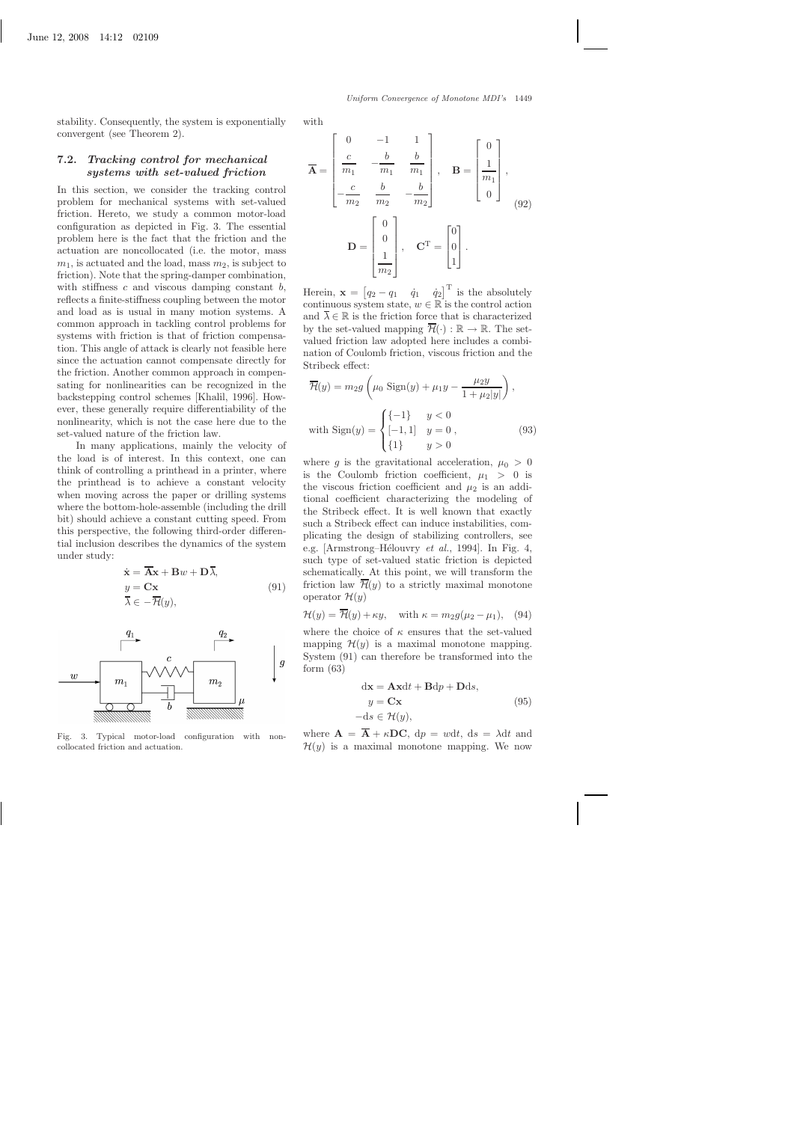stability. Consequently, the system is exponentially convergent (see Theorem 2).

# **7.2.** *Tracking control for mechanical systems with set-valued friction*

In this section, we consider the tracking control problem for mechanical systems with set-valued friction. Hereto, we study a common motor-load configuration as depicted in Fig. 3. The essential problem here is the fact that the friction and the actuation are noncollocated (i.e. the motor, mass  $m_1$ , is actuated and the load, mass  $m_2$ , is subject to friction). Note that the spring-damper combination, with stiffness  $c$  and viscous damping constant  $b$ , reflects a finite-stiffness coupling between the motor and load as is usual in many motion systems. A common approach in tackling control problems for systems with friction is that of friction compensation. This angle of attack is clearly not feasible here since the actuation cannot compensate directly for the friction. Another common approach in compensating for nonlinearities can be recognized in the backstepping control schemes [Khalil, 1996]. However, these generally require differentiability of the nonlinearity, which is not the case here due to the set-valued nature of the friction law.

In many applications, mainly the velocity of the load is of interest. In this context, one can think of controlling a printhead in a printer, where the printhead is to achieve a constant velocity when moving across the paper or drilling systems where the bottom-hole-assemble (including the drill bit) should achieve a constant cutting speed. From this perspective, the following third-order differential inclusion describes the dynamics of the system under study:

$$
\dot{\mathbf{x}} = \overline{\mathbf{A}}\mathbf{x} + \mathbf{B}w + \mathbf{D}\overline{\lambda},
$$
  
\n
$$
y = \mathbf{C}\mathbf{x}
$$
  
\n
$$
\overline{\lambda} \in -\overline{\mathcal{H}}(y),
$$
\n(91)



Fig. 3. Typical motor-load configuration with noncollocated friction and actuation.

with

$$
\overline{\mathbf{A}} = \begin{bmatrix} 0 & -1 & 1 \\ \frac{c}{m_1} & -\frac{b}{m_1} & \frac{b}{m_1} \\ -\frac{c}{m_2} & \frac{b}{m_2} & -\frac{b}{m_2} \end{bmatrix}, \quad \mathbf{B} = \begin{bmatrix} 0 \\ \frac{1}{m_1} \\ 0 \end{bmatrix},
$$

$$
\mathbf{D} = \begin{bmatrix} 0 \\ 0 \\ \frac{1}{m_2} \end{bmatrix}, \quad \mathbf{C}^{\mathrm{T}} = \begin{bmatrix} 0 \\ 0 \\ 1 \end{bmatrix}.
$$
 (92)

Herein,  $\mathbf{x} = \begin{bmatrix} q_2 - q_1 & \dot{q}_1 & \dot{q}_2 \end{bmatrix}^\text{T}$  is the absolutely continuous system state  $w \in \mathbb{R}$  is the control action continuous system state,  $w \in \mathbb{R}$  is the control action and  $\overline{\lambda} \in \mathbb{R}$  is the friction force that is characterized by the set-valued mapping  $\overline{\mathcal{H}}(\cdot) : \mathbb{R} \to \mathbb{R}$ . The setvalued friction law adopted here includes a combination of Coulomb friction, viscous friction and the Stribeck effect:

$$
\overline{\mathcal{H}}(y) = m_2 g \left( \mu_0 \operatorname{Sign}(y) + \mu_1 y - \frac{\mu_2 y}{1 + \mu_2 |y|} \right),
$$
  
with 
$$
\operatorname{Sign}(y) = \begin{cases} \{-1\} & y < 0 \\ [-1, 1] & y = 0 \\ \{1\} & y > 0 \end{cases}
$$
 (93)

where g is the gravitational acceleration,  $\mu_0 > 0$ is the Coulomb friction coefficient,  $\mu_1 > 0$  is the viscous friction coefficient and  $\mu_2$  is an additional coefficient characterizing the modeling of the Stribeck effect. It is well known that exactly such a Stribeck effect can induce instabilities, complicating the design of stabilizing controllers, see e.g. [Armstrong–H´elouvry *et al.*, 1994]. In Fig. 4, such type of set-valued static friction is depicted schematically. At this point, we will transform the friction law  $\overline{\mathcal{H}}(y)$  to a strictly maximal monotone operator  $\mathcal{H}(y)$ 

$$
\mathcal{H}(y) = \overline{\mathcal{H}}(y) + \kappa y, \quad \text{with } \kappa = m_2 g(\mu_2 - \mu_1), \quad (94)
$$

where the choice of  $\kappa$  ensures that the set-valued mapping  $\mathcal{H}(y)$  is a maximal monotone mapping. System (91) can therefore be transformed into the form (63)

$$
dx = Axdt + Bdp + Dds,
$$
  
\n
$$
y = Cx
$$
 (95)  
\n
$$
-ds \in \mathcal{H}(y),
$$

where  $\mathbf{A} = \overline{\mathbf{A}} + \kappa \mathbf{D} \mathbf{C}$ ,  $dp = wdt$ ,  $ds = \lambda dt$  and  $\mathcal{H}(y)$  is a maximal monotone mapping. We now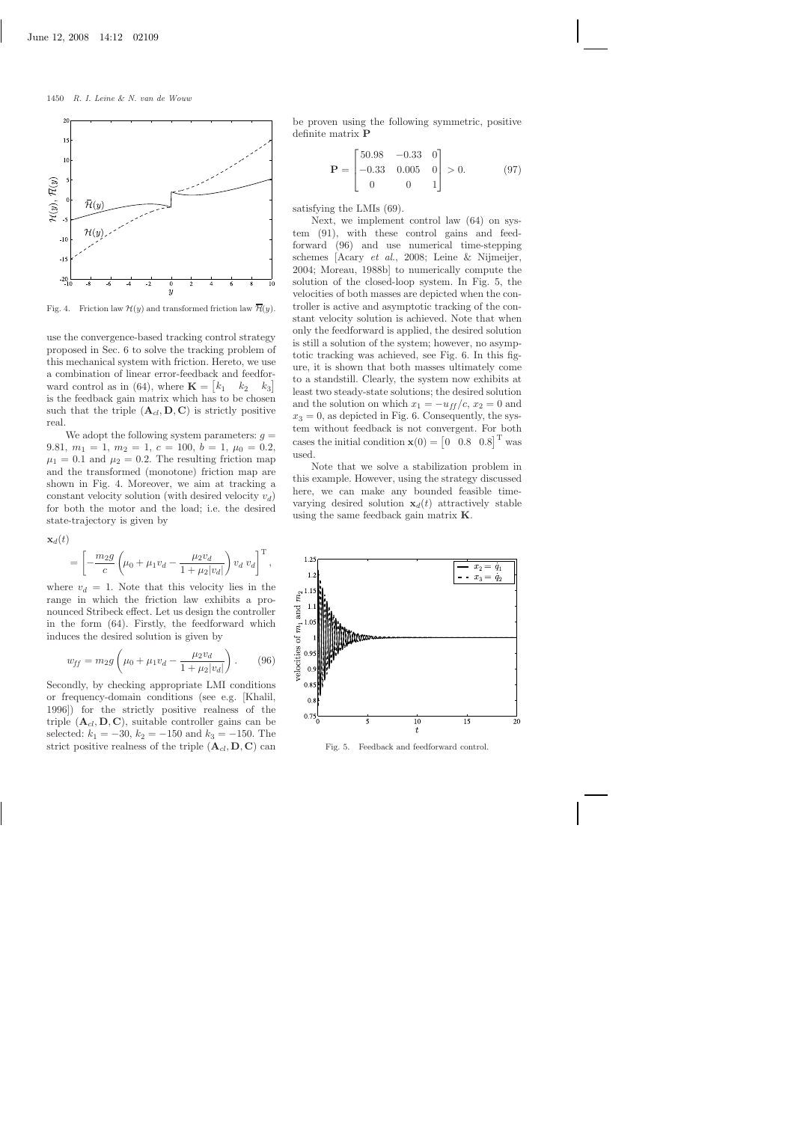

Fig. 4. Friction law  $\mathcal{H}(y)$  and transformed friction law  $\overline{\mathcal{H}}(y)$ .

use the convergence-based tracking control strategy proposed in Sec. 6 to solve the tracking problem of this mechanical system with friction. Hereto, we use a combination of linear error-feedback and feedforward control as in (64), where  $\mathbf{K} = |k_1|$  $k_2$  $k_3$ is the feedback gain matrix which has to be chosen such that the triple  $(\mathbf{A}_{cl}, \mathbf{D}, \mathbf{C})$  is strictly positive real.

We adopt the following system parameters:  $q =$ 9.81,  $m_1 = 1$ ,  $m_2 = 1$ ,  $c = 100$ ,  $b = 1$ ,  $\mu_0 = 0.2$ ,  $\mu_1 = 0.1$  and  $\mu_2 = 0.2$ . The resulting friction map and the transformed (monotone) friction map are shown in Fig. 4. Moreover, we aim at tracking a constant velocity solution (with desired velocity  $v_d$ ) for both the motor and the load; i.e. the desired state-trajectory is given by

 $\mathbf{x}_d(t)$ 

$$
= \left[ -\frac{m_2g}{c} \left( \mu_0 + \mu_1 v_d - \frac{\mu_2 v_d}{1 + \mu_2 |v_d|} \right) v_d v_d \right]^\mathrm{T},
$$

where  $v_d = 1$ . Note that this velocity lies in the range in which the friction law exhibits a pronounced Stribeck effect. Let us design the controller in the form (64). Firstly, the feedforward which induces the desired solution is given by

$$
w_{ff} = m_2 g \left( \mu_0 + \mu_1 v_d - \frac{\mu_2 v_d}{1 + \mu_2 |v_d|} \right). \tag{96}
$$

Secondly, by checking appropriate LMI conditions or frequency-domain conditions (see e.g. [Khalil, 1996]) for the strictly positive realness of the triple  $(\mathbf{A}_{cl}, \mathbf{D}, \mathbf{C})$ , suitable controller gains can be selected:  $k_1 = -30$ ,  $k_2 = -150$  and  $k_3 = -150$ . The strict positive realness of the triple  $(\mathbf{A}_{cl}, \mathbf{D}, \mathbf{C})$  can be proven using the following symmetric, positive definite matrix **P**

$$
\mathbf{P} = \begin{bmatrix} 50.98 & -0.33 & 0 \\ -0.33 & 0.005 & 0 \\ 0 & 0 & 1 \end{bmatrix} > 0.
$$
 (97)

satisfying the LMIs (69).

Next, we implement control law (64) on system (91), with these control gains and feedforward (96) and use numerical time-stepping schemes [Acary *et al.*, 2008; Leine & Nijmeijer, 2004; Moreau, 1988b] to numerically compute the solution of the closed-loop system. In Fig. 5, the velocities of both masses are depicted when the controller is active and asymptotic tracking of the constant velocity solution is achieved. Note that when only the feedforward is applied, the desired solution is still a solution of the system; however, no asymptotic tracking was achieved, see Fig. 6. In this figure, it is shown that both masses ultimately come to a standstill. Clearly, the system now exhibits at least two steady-state solutions; the desired solution and the solution on which  $x_1 = -u_{ff}/c$ ,  $x_2 = 0$  and  $x_3 = 0$ , as depicted in Fig. 6. Consequently, the system without feedback is not convergent. For both cases the initial condition  $\mathbf{x}(0) = \begin{bmatrix} 0 & 0.8 & 0.8 \end{bmatrix}^T$  was used.

Note that we solve a stabilization problem in this example. However, using the strategy discussed here, we can make any bounded feasible timevarying desired solution  $x_d(t)$  attractively stable using the same feedback gain matrix **K**.



Fig. 5. Feedback and feedforward control.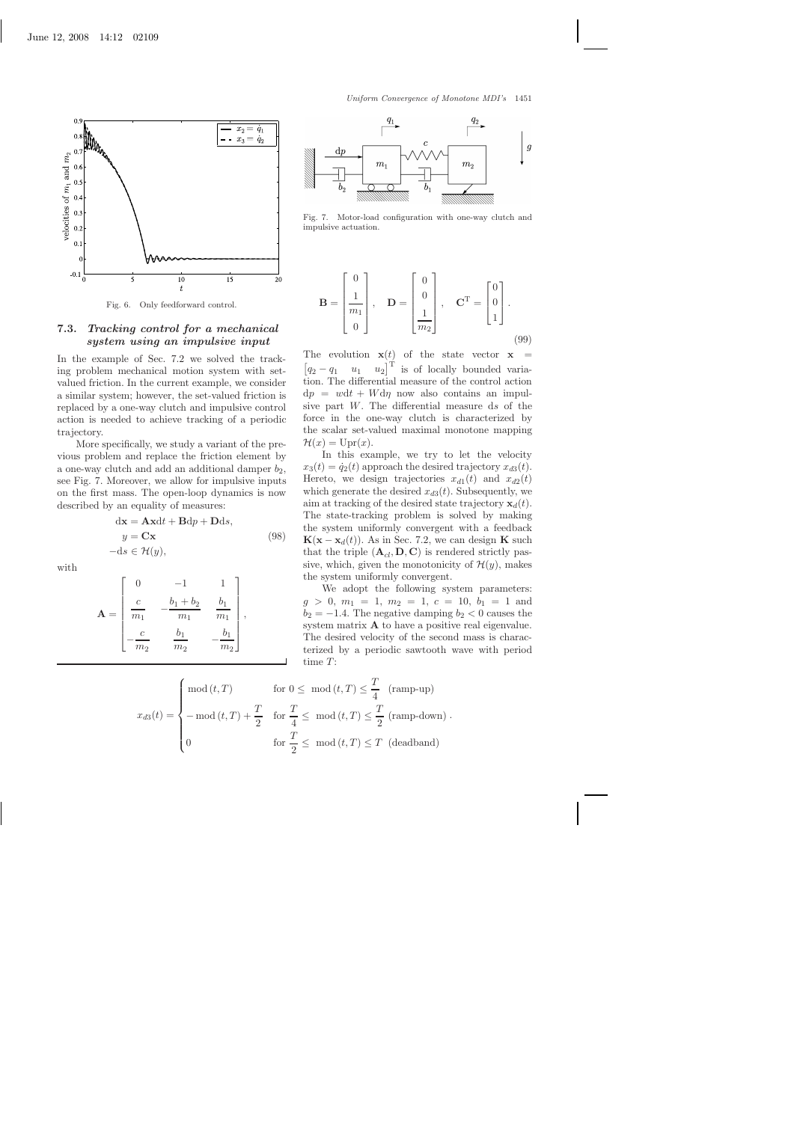

Fig. 6. Only feedforward control.

# **7.3.** *Tracking control for a mechanical system using an impulsive input*

In the example of Sec. 7.2 we solved the tracking problem mechanical motion system with setvalued friction. In the current example, we consider a similar system; however, the set-valued friction is replaced by a one-way clutch and impulsive control action is needed to achieve tracking of a periodic trajectory.

More specifically, we study a variant of the previous problem and replace the friction element by a one-way clutch and add an additional damper  $b_2$ , see Fig. 7. Moreover, we allow for impulsive inputs on the first mass. The open-loop dynamics is now described by an equality of measures:

$$
dx = Axdt + Bdp + Dds,
$$
  
\n
$$
y = Cx
$$
 (98)  
\n
$$
-ds \in \mathcal{H}(y),
$$

with

$$
\mathbf{A} = \begin{bmatrix} 0 & -1 & 1 \\ \frac{c}{m_1} & -\frac{b_1 + b_2}{m_1} & \frac{b_1}{m_1} \\ -\frac{c}{m_2} & \frac{b_1}{m_2} & -\frac{b_1}{m_2} \end{bmatrix},
$$



Fig. 7. Motor-load configuration with one-way clutch and impulsive actuation.

$$
\mathbf{B} = \begin{bmatrix} 0 \\ \frac{1}{m_1} \\ 0 \end{bmatrix}, \quad \mathbf{D} = \begin{bmatrix} 0 \\ 0 \\ \frac{1}{m_2} \end{bmatrix}, \quad \mathbf{C}^{\mathrm{T}} = \begin{bmatrix} 0 \\ 0 \\ 1 \end{bmatrix}.
$$
\n(99)

The evolution  $\mathbf{x}(t)$  of the state vector  $\mathbf{x} = \begin{bmatrix} q_2 - q_1 & u_1 & u_2 \end{bmatrix}^T$  is of locally bounded varia- $|q_2 - q_1 \, u_1|$ tion. The differential measure of the control action  $dp = wdt + Wd\eta$  now also contains an impulsive part  $W$ . The differential measure ds of the force in the one-way clutch is characterized by the scalar set-valued maximal monotone mapping  $\mathcal{H}(x) = \text{Upr}(x)$ .

In this example, we try to let the velocity  $x_3(t) = \dot{q}_2(t)$  approach the desired trajectory  $x_{d3}(t)$ . Hereto, we design trajectories  $x_{d1}(t)$  and  $x_{d2}(t)$ which generate the desired  $x_{d3}(t)$ . Subsequently, we aim at tracking of the desired state trajectory  $x_d(t)$ . The state-tracking problem is solved by making the system uniformly convergent with a feedback  $\mathbf{K}(\mathbf{x} - \mathbf{x}_d(t))$ . As in Sec. 7.2, we can design **K** such that the triple  $(A_{cl}, D, C)$  is rendered strictly passive, which, given the monotonicity of  $\mathcal{H}(y)$ , makes the system uniformly convergent.

We adopt the following system parameters:  $g > 0, m_1 = 1, m_2 = 1, c = 10, b_1 = 1$  and  $b_2 = -1.4$ . The negative damping  $b_2 < 0$  causes the system matrix **A** to have a positive real eigenvalue. The desired velocity of the second mass is characterized by a periodic sawtooth wave with period time T:

$$
x_{d3}(t) = \begin{cases} \mod(t, T) & \text{for } 0 \leq \mod(t, T) \leq \frac{T}{4} \quad \text{(ramp-up)} \\ -\mod(t, T) + \frac{T}{2} & \text{for } \frac{T}{4} \leq \mod(t, T) \leq \frac{T}{2} \quad \text{(ramp-down)} \\ 0 & \text{for } \frac{T}{2} \leq \mod(t, T) \leq T \quad \text{(deadband)} \end{cases}
$$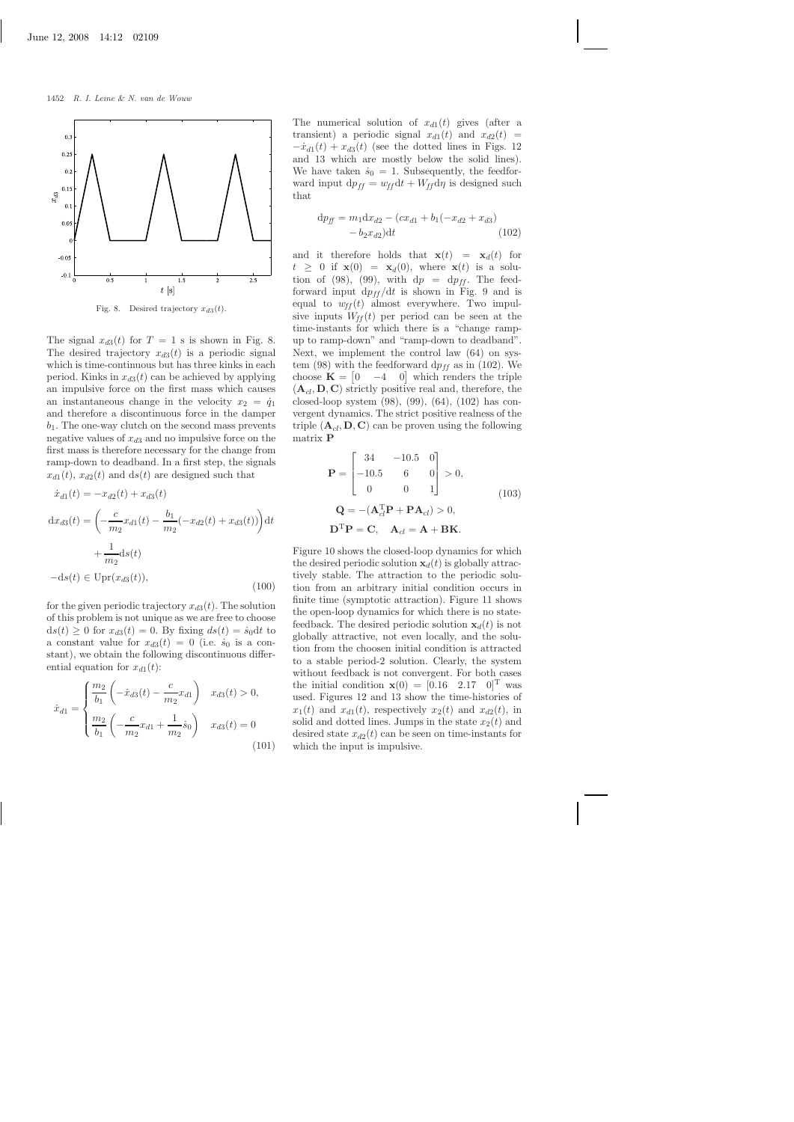

Fig. 8. Desired trajectory  $x_{d3}(t)$ .

The signal  $x_{d3}(t)$  for  $T = 1$  s is shown in Fig. 8. The desired trajectory  $x_{d3}(t)$  is a periodic signal which is time-continuous but has three kinks in each period. Kinks in  $x_{d3}(t)$  can be achieved by applying an impulsive force on the first mass which causes an instantaneous change in the velocity  $x_2 = \dot{q}_1$ and therefore a discontinuous force in the damper  $b_1$ . The one-way clutch on the second mass prevents negative values of  $x_{d3}$  and no impulsive force on the first mass is therefore necessary for the change from ramp-down to deadband. In a first step, the signals  $x_{d1}(t)$ ,  $x_{d2}(t)$  and  $ds(t)$  are designed such that

$$
\dot{x}_{d1}(t) = -x_{d2}(t) + x_{d3}(t)
$$
\n
$$
dx_{d3}(t) = \left(-\frac{c}{m_2}x_{d1}(t) - \frac{b_1}{m_2}(-x_{d2}(t) + x_{d3}(t))\right)dt
$$
\n
$$
+ \frac{1}{m_2}ds(t)
$$
\n
$$
-ds(t) \in \text{Upr}(x_{d3}(t)), \tag{100}
$$

for the given periodic trajectory  $x_{d3}(t)$ . The solution of this problem is not unique as we are free to choose  $ds(t) \geq 0$  for  $x_{d3}(t) = 0$ . By fixing  $ds(t) = \dot{s}_0 dt$  to a constant value for  $x_{d3}(t) = 0$  (i.e.  $\dot{s}_0$  is a constant), we obtain the following discontinuous differential equation for  $x_{d1}(t)$ :

$$
\dot{x}_{d1} = \begin{cases} \frac{m_2}{b_1} \left( -\dot{x}_{d3}(t) - \frac{c}{m_2} x_{d1} \right) & x_{d3}(t) > 0, \\ \frac{m_2}{b_1} \left( -\frac{c}{m_2} x_{d1} + \frac{1}{m_2} \dot{s}_0 \right) & x_{d3}(t) = 0 \end{cases}
$$
(101)

The numerical solution of  $x_{d1}(t)$  gives (after a transient) a periodic signal  $x_{d1}(t)$  and  $x_{d2}(t)$  =  $-\dot{x}_{d1}(t) + x_{d3}(t)$  (see the dotted lines in Figs. 12 and 13 which are mostly below the solid lines). We have taken  $\dot{s}_0 = 1$ . Subsequently, the feedforward input  $dp_{ff} = w_{ff}dt + W_{ff}d\eta$  is designed such that

$$
\begin{aligned} \mathrm{d}p_{ff} &= m_1 \mathrm{d}x_{d2} - (cx_{d1} + b_1(-x_{d2} + x_{d3}) \\ &- b_2 x_{d2}) \mathrm{d}t \end{aligned} \tag{102}
$$

and it therefore holds that  $\mathbf{x}(t) = \mathbf{x}_d(t)$  for  $t \geq 0$  if  $\mathbf{x}(0) = \mathbf{x}_d(0)$ , where  $\mathbf{x}(t)$  is a solution of (98), (99), with  $dp = dp_{ff}$ . The feedforward input  $dp_{ff}/dt$  is shown in Fig. 9 and is equal to  $w_{ff}(t)$  almost everywhere. Two impulsive inputs  $W_{ff}(t)$  per period can be seen at the time-instants for which there is a "change rampup to ramp-down" and "ramp-down to deadband". Next, we implement the control law (64) on system (98) with the feedforward d $p_{ff}$  as in (102). We choose  $\mathbf{K} = \begin{bmatrix} 0 & -4 & 0 \end{bmatrix}$  which renders the triple  $(\mathbf{A} \cdot \mathbf{D} \mathbf{C})$  strictly positive real and therefore the  $(A_{cl}, D, C)$  strictly positive real and, therefore, the closed-loop system (98), (99), (64), (102) has convergent dynamics. The strict positive realness of the triple  $(\mathbf{A}_{cl}, \mathbf{D}, \mathbf{C})$  can be proven using the following matrix **P**

$$
\mathbf{P} = \begin{bmatrix} 34 & -10.5 & 0 \\ -10.5 & 6 & 0 \\ 0 & 0 & 1 \end{bmatrix} > 0,
$$
  
\n
$$
\mathbf{Q} = -(\mathbf{A}_{cl}^{T}\mathbf{P} + \mathbf{P}\mathbf{A}_{cl}) > 0,
$$
  
\n
$$
\mathbf{D}^{T}\mathbf{P} = \mathbf{C}, \quad \mathbf{A}_{cl} = \mathbf{A} + \mathbf{B}\mathbf{K}.
$$
 (103)

Figure 10 shows the closed-loop dynamics for which the desired periodic solution  $x_d(t)$  is globally attractively stable. The attraction to the periodic solution from an arbitrary initial condition occurs in finite time (symptotic attraction). Figure 11 shows the open-loop dynamics for which there is no statefeedback. The desired periodic solution  $x_d(t)$  is not globally attractive, not even locally, and the solution from the choosen initial condition is attracted to a stable period-2 solution. Clearly, the system without feedback is not convergent. For both cases the initial condition  $\mathbf{x}(0) = \begin{bmatrix} 0.16 & 2.17 & 0 \end{bmatrix}^T$  was used. Figures 12 and 13 show the time-histories of  $x_1(t)$  and  $x_{d1}(t)$ , respectively  $x_2(t)$  and  $x_{d2}(t)$ , in solid and dotted lines. Jumps in the state  $x_2(t)$  and desired state  $x_{d2}(t)$  can be seen on time-instants for which the input is impulsive.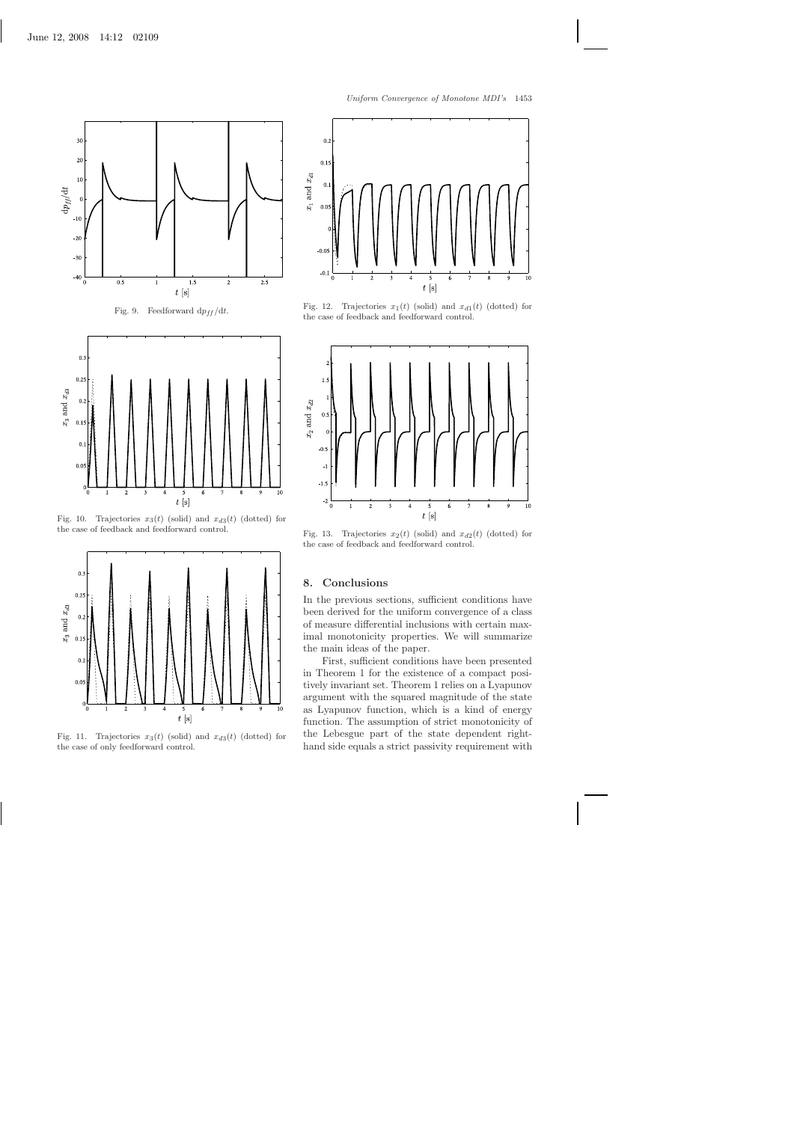

Fig. 9. Feedforward dp*ff* /dt.



Fig. 10. Trajectories  $x_3(t)$  (solid) and  $x_{d3}(t)$  (dotted) for the case of feedback and feedforward control.



Fig. 11. Trajectories  $x_3(t)$  (solid) and  $x_{d3}(t)$  (dotted) for the case of only feedforward control.



Fig. 12. Trajectories  $x_1(t)$  (solid) and  $x_{d1}(t)$  (dotted) for the case of feedback and feedforward control.



Fig. 13. Trajectories  $x_2(t)$  (solid) and  $x_{d2}(t)$  (dotted) for the case of feedback and feedforward control.

#### **8. Conclusions**

In the previous sections, sufficient conditions have been derived for the uniform convergence of a class of measure differential inclusions with certain maximal monotonicity properties. We will summarize the main ideas of the paper.

First, sufficient conditions have been presented in Theorem 1 for the existence of a compact positively invariant set. Theorem 1 relies on a Lyapunov argument with the squared magnitude of the state as Lyapunov function, which is a kind of energy function. The assumption of strict monotonicity of the Lebesgue part of the state dependent righthand side equals a strict passivity requirement with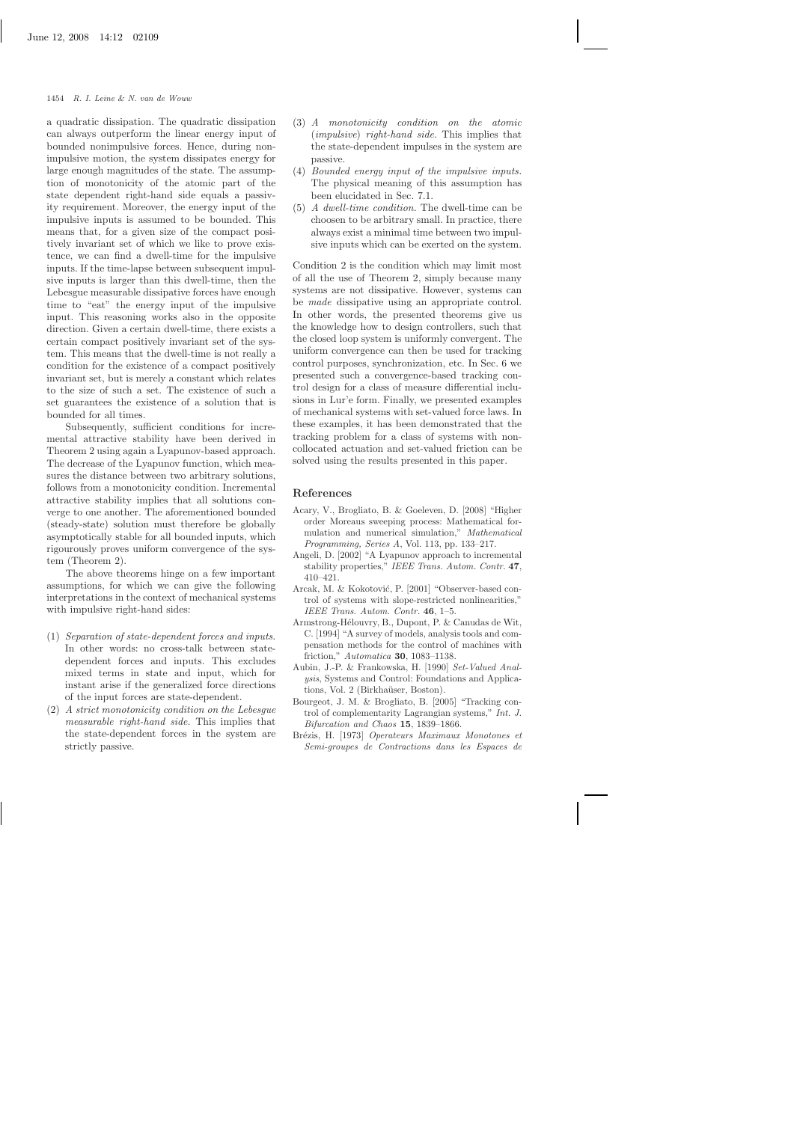a quadratic dissipation. The quadratic dissipation can always outperform the linear energy input of bounded nonimpulsive forces. Hence, during nonimpulsive motion, the system dissipates energy for large enough magnitudes of the state. The assumption of monotonicity of the atomic part of the state dependent right-hand side equals a passivity requirement. Moreover, the energy input of the impulsive inputs is assumed to be bounded. This means that, for a given size of the compact positively invariant set of which we like to prove existence, we can find a dwell-time for the impulsive inputs. If the time-lapse between subsequent impulsive inputs is larger than this dwell-time, then the Lebesgue measurable dissipative forces have enough time to "eat" the energy input of the impulsive input. This reasoning works also in the opposite direction. Given a certain dwell-time, there exists a certain compact positively invariant set of the system. This means that the dwell-time is not really a condition for the existence of a compact positively invariant set, but is merely a constant which relates to the size of such a set. The existence of such a set guarantees the existence of a solution that is bounded for all times.

Subsequently, sufficient conditions for incremental attractive stability have been derived in Theorem 2 using again a Lyapunov-based approach. The decrease of the Lyapunov function, which measures the distance between two arbitrary solutions, follows from a monotonicity condition. Incremental attractive stability implies that all solutions converge to one another. The aforementioned bounded (steady-state) solution must therefore be globally asymptotically stable for all bounded inputs, which rigourously proves uniform convergence of the system (Theorem 2).

The above theorems hinge on a few important assumptions, for which we can give the following interpretations in the context of mechanical systems with impulsive right-hand sides:

- (1) *Separation of state-dependent forces and inputs.* In other words: no cross-talk between statedependent forces and inputs. This excludes mixed terms in state and input, which for instant arise if the generalized force directions of the input forces are state-dependent.
- (2) *A strict monotonicity condition on the Lebesgue measurable right-hand side.* This implies that the state-dependent forces in the system are strictly passive.
- (3) *A monotonicity condition on the atomic* (*impulsive*) *right-hand side.* This implies that the state-dependent impulses in the system are passive.
- (4) *Bounded energy input of the impulsive inputs.* The physical meaning of this assumption has been elucidated in Sec. 7.1.
- (5) *A dwell-time condition.* The dwell-time can be choosen to be arbitrary small. In practice, there always exist a minimal time between two impulsive inputs which can be exerted on the system.

Condition 2 is the condition which may limit most of all the use of Theorem 2, simply because many systems are not dissipative. However, systems can be *made* dissipative using an appropriate control. In other words, the presented theorems give us the knowledge how to design controllers, such that the closed loop system is uniformly convergent. The uniform convergence can then be used for tracking control purposes, synchronization, etc. In Sec. 6 we presented such a convergence-based tracking control design for a class of measure differential inclusions in Lur'e form. Finally, we presented examples of mechanical systems with set-valued force laws. In these examples, it has been demonstrated that the tracking problem for a class of systems with noncollocated actuation and set-valued friction can be solved using the results presented in this paper.

#### **References**

- Acary, V., Brogliato, B. & Goeleven, D. [2008] "Higher order Moreaus sweeping process: Mathematical formulation and numerical simulation," *Mathematical Programming, Series A*, Vol. 113, pp. 133–217.
- Angeli, D. [2002] "A Lyapunov approach to incremental stability properties," *IEEE Trans. Autom. Contr.* **47**, 410–421.
- Arcak, M. & Kokotović, P. [2001] "Observer-based control of systems with slope-restricted nonlinearities," *IEEE Trans. Autom. Contr.* **46**, 1–5.
- Armstrong-Hélouvry, B., Dupont, P. & Canudas de Wit, C. [1994] "A survey of models, analysis tools and compensation methods for the control of machines with friction," *Automatica* **30**, 1083–1138.
- Aubin, J.-P. & Frankowska, H. [1990] *Set-Valued Analysis*, Systems and Control: Foundations and Applications, Vol. 2 (Birkhaüser, Boston).
- Bourgeot, J. M. & Brogliato, B. [2005] "Tracking control of complementarity Lagrangian systems," *Int. J. Bifurcation and Chaos* **15**, 1839–1866.
- Br´ezis, H. [1973] *Operateurs Maximaux Monotones et Semi-groupes de Contractions dans les Espaces de*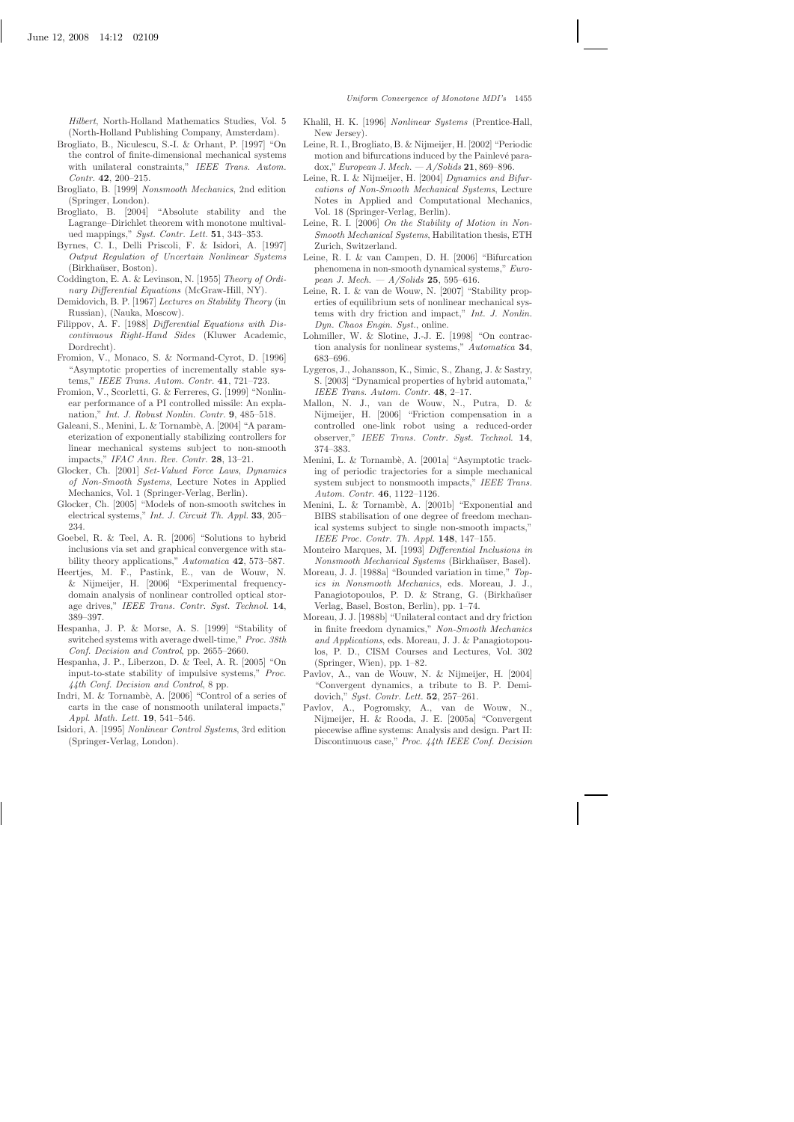*Hilbert*, North-Holland Mathematics Studies, Vol. 5 (North-Holland Publishing Company, Amsterdam).

- Brogliato, B., Niculescu, S.-I. & Orhant, P. [1997] "On the control of finite-dimensional mechanical systems with unilateral constraints," *IEEE Trans. Autom. Contr.* **42**, 200–215.
- Brogliato, B. [1999] *Nonsmooth Mechanics*, 2nd edition (Springer, London).
- Brogliato, B. [2004] "Absolute stability and the Lagrange–Dirichlet theorem with monotone multivalued mappings," *Syst. Contr. Lett.* **51**, 343–353.
- Byrnes, C. I., Delli Priscoli, F. & Isidori, A. [1997] *Output Regulation of Uncertain Nonlinear Systems* (Birkhaüser, Boston).
- Coddington, E. A. & Levinson, N. [1955] *Theory of Ordinary Differential Equations* (McGraw-Hill, NY).
- Demidovich, B. P. [1967] *Lectures on Stability Theory* (in Russian), (Nauka, Moscow).
- Filippov, A. F. [1988] *Differential Equations with Discontinuous Right-Hand Sides* (Kluwer Academic, Dordrecht).
- Fromion, V., Monaco, S. & Normand-Cyrot, D. [1996] "Asymptotic properties of incrementally stable systems," *IEEE Trans. Autom. Contr.* **41**, 721–723.
- Fromion, V., Scorletti, G. & Ferreres, G. [1999] "Nonlinear performance of a PI controlled missile: An explanation," *Int. J. Robust Nonlin. Contr.* **9**, 485–518.
- Galeani, S., Menini, L. & Tornambè, A. [2004] "A parameterization of exponentially stabilizing controllers for linear mechanical systems subject to non-smooth impacts," *IFAC Ann. Rev. Contr.* **28**, 13–21.
- Glocker, Ch. [2001] *Set-Valued Force Laws*, *Dynamics of Non-Smooth Systems*, Lecture Notes in Applied Mechanics, Vol. 1 (Springer-Verlag, Berlin).
- Glocker, Ch. [2005] "Models of non-smooth switches in electrical systems," *Int. J. Circuit Th. Appl.* **33**, 205– 234.
- Goebel, R. & Teel, A. R. [2006] "Solutions to hybrid inclusions via set and graphical convergence with stability theory applications," *Automatica* **42**, 573–587.
- Heertjes, M. F., Pastink, E., van de Wouw, N. & Nijmeijer, H. [2006] "Experimental frequencydomain analysis of nonlinear controlled optical storage drives," *IEEE Trans. Contr. Syst. Technol.* **14**, 389–397.
- Hespanha, J. P. & Morse, A. S. [1999] "Stability of switched systems with average dwell-time," *Proc. 38th Conf. Decision and Control*, pp. 2655–2660.
- Hespanha, J. P., Liberzon, D. & Teel, A. R. [2005] "On input-to-state stability of impulsive systems," *Proc. 44th Conf. Decision and Control*, 8 pp.
- Indri, M. & Tornambè, A. [2006] "Control of a series of carts in the case of nonsmooth unilateral impacts," *Appl. Math. Lett.* **19**, 541–546.
- Isidori, A. [1995] *Nonlinear Control Systems*, 3rd edition (Springer-Verlag, London).
- Khalil, H. K. [1996] *Nonlinear Systems* (Prentice-Hall, New Jersey).
- Leine, R. I., Brogliato, B. & Nijmeijer, H. [2002] "Periodic motion and bifurcations induced by the Painlevé paradox," *European J. Mech. — A/Solids* **21**, 869–896.
- Leine, R. I. & Nijmeijer, H. [2004] *Dynamics and Bifurcations of Non-Smooth Mechanical Systems*, Lecture Notes in Applied and Computational Mechanics, Vol. 18 (Springer-Verlag, Berlin).
- Leine, R. I. [2006] *On the Stability of Motion in Non-Smooth Mechanical Systems*, Habilitation thesis, ETH Zurich, Switzerland.
- Leine, R. I. & van Campen, D. H. [2006] "Bifurcation phenomena in non-smooth dynamical systems," *European J. Mech. — A/Solids* **25**, 595–616.
- Leine, R. I. & van de Wouw, N. [2007] "Stability properties of equilibrium sets of nonlinear mechanical systems with dry friction and impact," *Int. J. Nonlin. Dyn. Chaos Engin. Syst.*, online.
- Lohmiller, W. & Slotine, J.-J. E. [1998] "On contraction analysis for nonlinear systems," *Automatica* **34**, 683–696.
- Lygeros, J., Johansson, K., Simic, S., Zhang, J. & Sastry, S. [2003] "Dynamical properties of hybrid automata," *IEEE Trans. Autom. Contr.* **48**, 2–17.
- Mallon, N. J., van de Wouw, N., Putra, D. & Nijmeijer, H. [2006] "Friction compensation in a controlled one-link robot using a reduced-order observer," *IEEE Trans. Contr. Syst. Technol.* **14**, 374–383.
- Menini, L. & Tornambè, A. [2001a] "Asymptotic tracking of periodic trajectories for a simple mechanical system subject to nonsmooth impacts," *IEEE Trans. Autom. Contr.* **46**, 1122–1126.
- Menini, L. & Tornambè, A. [2001b] "Exponential and BIBS stabilisation of one degree of freedom mechanical systems subject to single non-smooth impacts," *IEEE Proc. Contr. Th. Appl.* **148**, 147–155.
- Monteiro Marques, M. [1993] *Differential Inclusions in Nonsmooth Mechanical Systems* (Birkhaüser, Basel).
- Moreau, J. J. [1988a] "Bounded variation in time," *Topics in Nonsmooth Mechanics*, eds. Moreau, J. J., Panagiotopoulos, P. D. & Strang, G. (Birkhaüser Verlag, Basel, Boston, Berlin), pp. 1–74.
- Moreau, J. J. [1988b] "Unilateral contact and dry friction in finite freedom dynamics," *Non-Smooth Mechanics and Applications*, eds. Moreau, J. J. & Panagiotopoulos, P. D., CISM Courses and Lectures, Vol. 302 (Springer, Wien), pp. 1–82.
- Pavlov, A., van de Wouw, N. & Nijmeijer, H. [2004] "Convergent dynamics, a tribute to B. P. Demidovich," *Syst. Contr. Lett.* **52**, 257–261.
- Pavlov, A., Pogromsky, A., van de Wouw, N., Nijmeijer, H. & Rooda, J. E. [2005a] "Convergent piecewise affine systems: Analysis and design. Part II: Discontinuous case," *Proc. 44th IEEE Conf. Decision*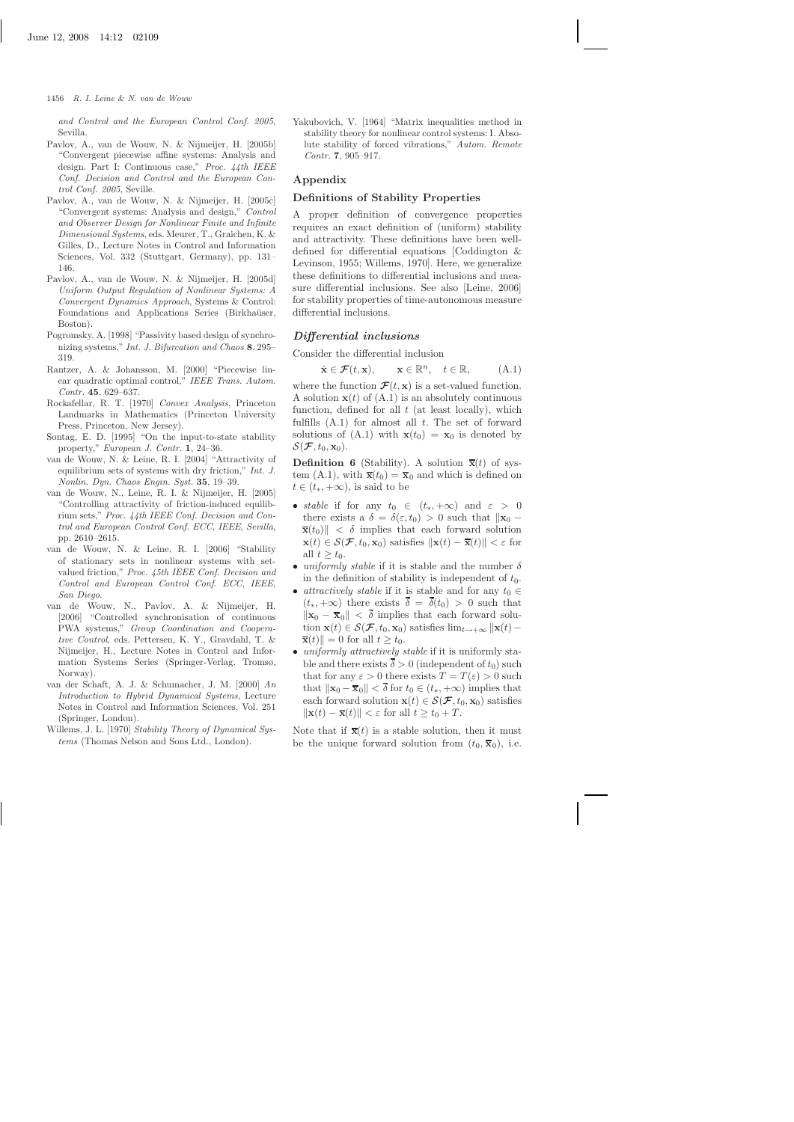*and Control and the European Control Conf. 2005*, Sevilla.

- Pavlov, A., van de Wouw, N. & Nijmeijer, H. [2005b] "Convergent piecewise affine systems: Analysis and design. Part I: Continuous case," *Proc. 44th IEEE Conf. Decision and Control and the European Control Conf. 2005*, Seville.
- Pavlov, A., van de Wouw, N. & Nijmeijer, H. [2005c] "Convergent systems: Analysis and design," *Control and Observer Design for Nonlinear Finite and Infinite Dimensional Systems*, eds. Meurer, T., Graichen, K. & Gilles, D., Lecture Notes in Control and Information Sciences, Vol. 332 (Stuttgart, Germany), pp. 131– 146.
- Pavlov, A., van de Wouw, N. & Nijmeijer, H. [2005d] *Uniform Output Regulation of Nonlinear Systems: A Convergent Dynamics Approach*, Systems & Control: Foundations and Applications Series (Birkhaüser, Boston).
- Pogromsky, A. [1998] "Passivity based design of synchronizing systems," *Int. J. Bifurcation and Chaos* **8**, 295– 319.
- Rantzer, A. & Johansson, M. [2000] "Piecewise linear quadratic optimal control," *IEEE Trans. Autom. Contr.* **45**, 629–637.
- Rockafellar, R. T. [1970] *Convex Analysis*, Princeton Landmarks in Mathematics (Princeton University Press, Princeton, New Jersey).
- Sontag, E. D. [1995] "On the input-to-state stability property," *European J. Contr.* **1**, 24–36.
- van de Wouw, N. & Leine, R. I. [2004] "Attractivity of equilibrium sets of systems with dry friction," *Int. J. Nonlin. Dyn. Chaos Engin. Syst.* **35**, 19–39.
- van de Wouw, N., Leine, R. I. & Nijmeijer, H. [2005] "Controlling attractivity of friction-induced equilibrium sets," *Proc. 44th IEEE Conf. Decision and Control and European Control Conf. ECC*, *IEEE*, *Sevilla*, pp. 2610–2615.
- van de Wouw, N. & Leine, R. I. [2006] "Stability of stationary sets in nonlinear systems with setvalued friction," *Proc. 45th IEEE Conf. Decision and Control and European Control Conf. ECC*, *IEEE*, *San Diego*.
- van de Wouw, N., Pavlov, A. & Nijmeijer, H. [2006] "Controlled synchronisation of continuous PWA systems," *Group Coordination and Cooperative Control*, eds. Pettersen, K. Y., Gravdahl, T. & Nijmeijer, H., Lecture Notes in Control and Information Systems Series (Springer-Verlag, Tromsø, Norway).
- van der Schaft, A. J. & Schumacher, J. M. [2000] *An Introduction to Hybrid Dynamical Systems*, Lecture Notes in Control and Information Sciences, Vol. 251 (Springer, London).
- Willems, J. L. [1970] *Stability Theory of Dynamical Systems* (Thomas Nelson and Sons Ltd., London).

Yakubovich, V. [1964] "Matrix inequalities method in stability theory for nonlinear control systems: I. Absolute stability of forced vibrations," *Autom. Remote Contr.* **7**, 905–917.

# **Appendix**

### **Definitions of Stability Properties**

A proper definition of convergence properties requires an exact definition of (uniform) stability and attractivity. These definitions have been welldefined for differential equations [Coddington & Levinson, 1955; Willems, 1970]. Here, we generalize these definitions to differential inclusions and measure differential inclusions. See also [Leine, 2006] for stability properties of time-autonomous measure differential inclusions.

# *Differential inclusions*

Consider the differential inclusion

 $\dot{\mathbf{x}} \in \mathcal{F}(t, \mathbf{x}), \quad \mathbf{x} \in \mathbb{R}^n, \quad t \in \mathbb{R}, \quad (\text{A.1})$ 

where the function  $\mathcal{F}(t, \mathbf{x})$  is a set-valued function. A solution  $\mathbf{x}(t)$  of  $(A.1)$  is an absolutely continuous function, defined for all  $t$  (at least locally), which fulfills  $(A.1)$  for almost all t. The set of forward solutions of  $(A.1)$  with  $\mathbf{x}(t_0) = \mathbf{x}_0$  is denoted by  $\mathcal{S}(\mathcal{F}, t_0, \mathbf{x}_0)$ .

**Definition 6** (Stability). A solution  $\overline{\mathbf{x}}(t)$  of system (A.1), with  $\overline{\mathbf{x}}(t_0) = \overline{\mathbf{x}}_0$  and which is defined on  $t \in (t_*, +\infty)$ , is said to be

- *stable* if for any  $t_0 \in (t_*, +\infty)$  and  $\varepsilon > 0$ there exists a  $\delta = \delta(\epsilon, t_0) > 0$  such that  $\|\mathbf{x}_0 \bar{\mathbf{x}}(t_0)$   $\leq \delta$  implies that each forward solution  $\mathbf{x}(t) \in \mathcal{S}(\mathcal{F}, t_0, \mathbf{x}_0)$  satisfies  $\|\mathbf{x}(t) - \mathbf{\bar{x}}(t)\| < \varepsilon$  for all  $t \geq t_0$ .
- *uniformly stable* if it is stable and the number  $\delta$ in the definition of stability is independent of  $t_0$ .
- *attractively stable* if it is stable and for any  $t_0 \in$  $(t_*, +\infty)$  there exists  $\overline{\delta} = \overline{\delta}(t_0) > 0$  such that  $\|\mathbf{x}_0 - \overline{\mathbf{x}}_0\| < \overline{\delta}$  implies that each forward solution  $\mathbf{x}(t) \in \mathcal{S}(\mathcal{F}, t_0, \mathbf{x}_0)$  satisfies  $\lim_{t \to +\infty} ||\mathbf{x}(t) \overline{\mathbf{x}}(t)$  = 0 for all  $t \geq t_0$ .
- *uniformly attractively stable* if it is uniformly stable and there exists  $\delta > 0$  (independent of  $t_0$ ) such that for any  $\varepsilon > 0$  there exists  $T = T(\varepsilon) > 0$  such that  $\|\mathbf{x}_0 - \overline{\mathbf{x}}_0\| < \overline{\delta}$  for  $t_0 \in (t_*, +\infty)$  implies that each forward solution  $\mathbf{x}(t) \in \mathcal{S}(\mathcal{F}, t_0, \mathbf{x}_0)$  satisfies  $\|\mathbf{x}(t) - \overline{\mathbf{x}}(t)\| < \varepsilon$  for all  $t \ge t_0 + T$ .

Note that if  $\bar{\mathbf{x}}(t)$  is a stable solution, then it must be the unique forward solution from  $(t_0, \bar{x}_0)$ , i.e.